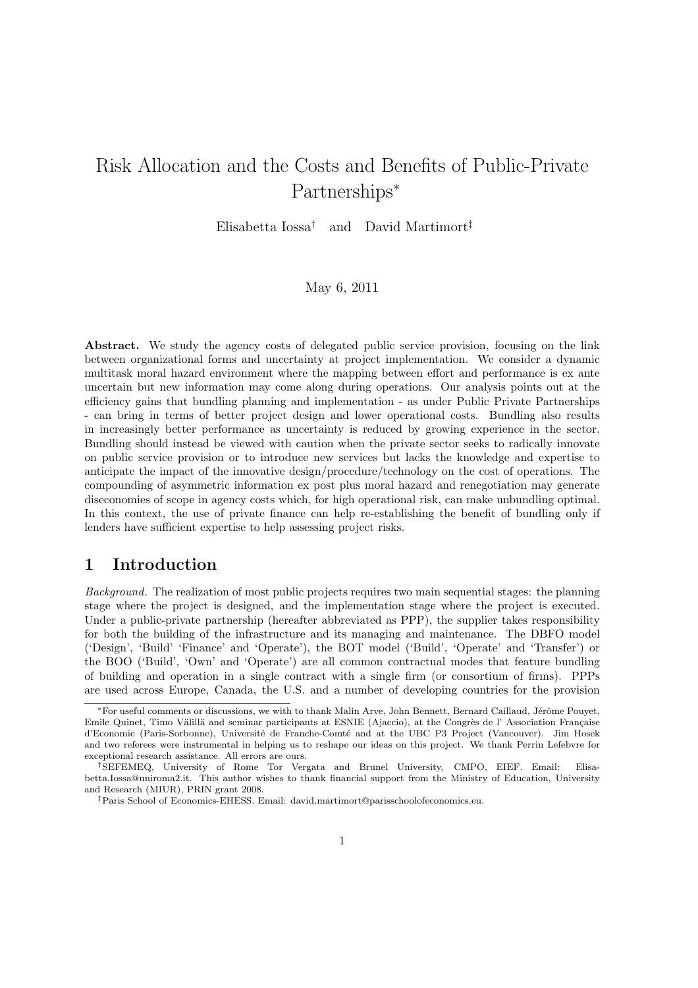# Risk Allocation and the Costs and Benefits of Public-Private Partnerships<sup>∗</sup>

Elisabetta Iossa† and David Martimort‡

#### May 6, 2011

Abstract. We study the agency costs of delegated public service provision, focusing on the link between organizational forms and uncertainty at project implementation. We consider a dynamic multitask moral hazard environment where the mapping between effort and performance is ex ante uncertain but new information may come along during operations. Our analysis points out at the efficiency gains that bundling planning and implementation - as under Public Private Partnerships - can bring in terms of better project design and lower operational costs. Bundling also results in increasingly better performance as uncertainty is reduced by growing experience in the sector. Bundling should instead be viewed with caution when the private sector seeks to radically innovate on public service provision or to introduce new services but lacks the knowledge and expertise to anticipate the impact of the innovative design/procedure/technology on the cost of operations. The compounding of asymmetric information ex post plus moral hazard and renegotiation may generate diseconomies of scope in agency costs which, for high operational risk, can make unbundling optimal. In this context, the use of private finance can help re-establishing the benefit of bundling only if lenders have sufficient expertise to help assessing project risks.

## 1 Introduction

Background. The realization of most public projects requires two main sequential stages: the planning stage where the project is designed, and the implementation stage where the project is executed. Under a public-private partnership (hereafter abbreviated as PPP), the supplier takes responsibility for both the building of the infrastructure and its managing and maintenance. The DBFO model ('Design', 'Build' 'Finance' and 'Operate'), the BOT model ('Build', 'Operate' and 'Transfer') or the BOO ('Build', 'Own' and 'Operate') are all common contractual modes that feature bundling of building and operation in a single contract with a single firm (or consortium of firms). PPPs are used across Europe, Canada, the U.S. and a number of developing countries for the provision

<sup>\*</sup>For useful comments or discussions, we with to thank Malin Arve, John Bennett, Bernard Caillaud, Jérôme Pouyet, Emile Quinet, Timo Välillä and seminar participants at ESNIE (Ajaccio), at the Congrès de l' Association Française d'Economie (Paris-Sorbonne), Université de Franche-Comté and at the UBC P3 Project (Vancouver). Jim Hosek and two referees were instrumental in helping us to reshape our ideas on this project. We thank Perrin Lefebvre for exceptional research assistance. All errors are ours.

<sup>†</sup>SEFEMEQ, University of Rome Tor Vergata and Brunel University, CMPO, EIEF. Email: Elisabetta.Iossa@uniroma2.it. This author wishes to thank financial support from the Ministry of Education, University and Research (MIUR), PRIN grant 2008.

<sup>‡</sup>Paris School of Economics-EHESS. Email: david.martimort@parisschoolofeconomics.eu.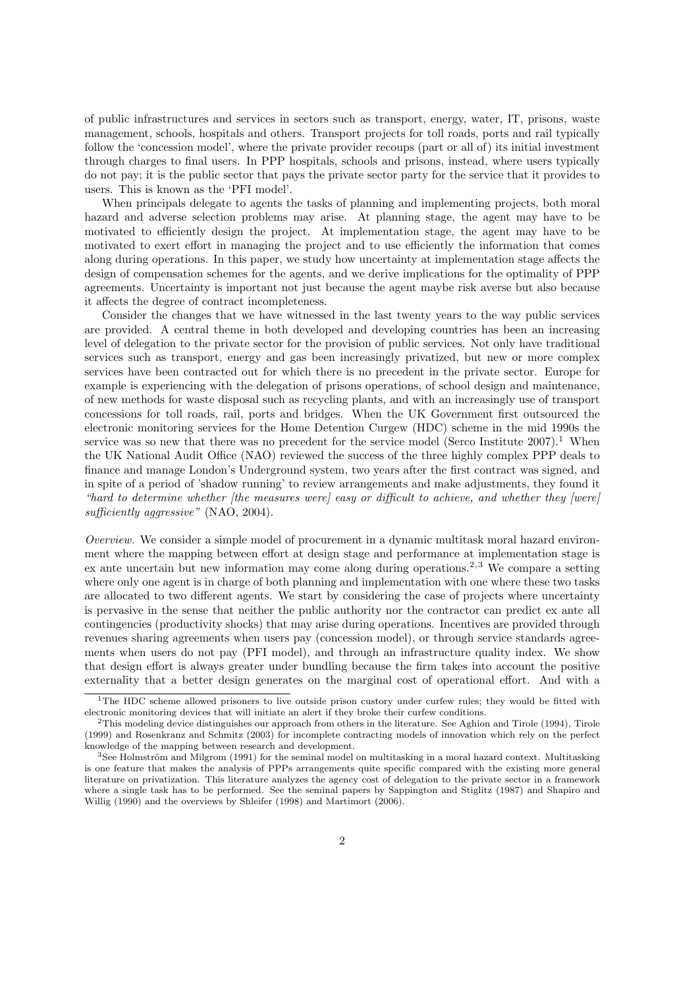of public infrastructures and services in sectors such as transport, energy, water, IT, prisons, waste management, schools, hospitals and others. Transport projects for toll roads, ports and rail typically follow the 'concession model', where the private provider recoups (part or all of) its initial investment through charges to final users. In PPP hospitals, schools and prisons, instead, where users typically do not pay; it is the public sector that pays the private sector party for the service that it provides to users. This is known as the 'PFI model'.

When principals delegate to agents the tasks of planning and implementing projects, both moral hazard and adverse selection problems may arise. At planning stage, the agent may have to be motivated to efficiently design the project. At implementation stage, the agent may have to be motivated to exert effort in managing the project and to use efficiently the information that comes along during operations. In this paper, we study how uncertainty at implementation stage affects the design of compensation schemes for the agents, and we derive implications for the optimality of PPP agreements. Uncertainty is important not just because the agent maybe risk averse but also because it affects the degree of contract incompleteness.

Consider the changes that we have witnessed in the last twenty years to the way public services are provided. A central theme in both developed and developing countries has been an increasing level of delegation to the private sector for the provision of public services. Not only have traditional services such as transport, energy and gas been increasingly privatized, but new or more complex services have been contracted out for which there is no precedent in the private sector. Europe for example is experiencing with the delegation of prisons operations, of school design and maintenance, of new methods for waste disposal such as recycling plants, and with an increasingly use of transport concessions for toll roads, rail, ports and bridges. When the UK Government first outsourced the electronic monitoring services for the Home Detention Curgew (HDC) scheme in the mid 1990s the service was so new that there was no precedent for the service model (Serco Institute  $2007$ ).<sup>1</sup> When the UK National Audit Office (NAO) reviewed the success of the three highly complex PPP deals to finance and manage London's Underground system, two years after the first contract was signed, and in spite of a period of 'shadow running' to review arrangements and make adjustments, they found it "hard to determine whether [the measures were] easy or difficult to achieve, and whether they [were] sufficiently aggressive" (NAO, 2004).

Overview. We consider a simple model of procurement in a dynamic multitask moral hazard environment where the mapping between effort at design stage and performance at implementation stage is ex ante uncertain but new information may come along during operations.<sup>2,3</sup> We compare a setting where only one agent is in charge of both planning and implementation with one where these two tasks are allocated to two different agents. We start by considering the case of projects where uncertainty is pervasive in the sense that neither the public authority nor the contractor can predict ex ante all contingencies (productivity shocks) that may arise during operations. Incentives are provided through revenues sharing agreements when users pay (concession model), or through service standards agreements when users do not pay (PFI model), and through an infrastructure quality index. We show that design effort is always greater under bundling because the firm takes into account the positive externality that a better design generates on the marginal cost of operational effort. And with a

<sup>&</sup>lt;sup>1</sup>The HDC scheme allowed prisoners to live outside prison custory under curfew rules; they would be fitted with electronic monitoring devices that will initiate an alert if they broke their curfew conditions.

 $2$ This modeling device distinguishes our approach from others in the literature. See Aghion and Tirole (1994), Tirole (1999) and Rosenkranz and Schmitz (2003) for incomplete contracting models of innovation which rely on the perfect knowledge of the mapping between research and development.

 $3$ See Holmström and Milgrom (1991) for the seminal model on multitasking in a moral hazard context. Multitasking is one feature that makes the analysis of PPPs arrangements quite specific compared with the existing more general literature on privatization. This literature analyzes the agency cost of delegation to the private sector in a framework where a single task has to be performed. See the seminal papers by Sappington and Stiglitz (1987) and Shapiro and Willig (1990) and the overviews by Shleifer (1998) and Martimort (2006).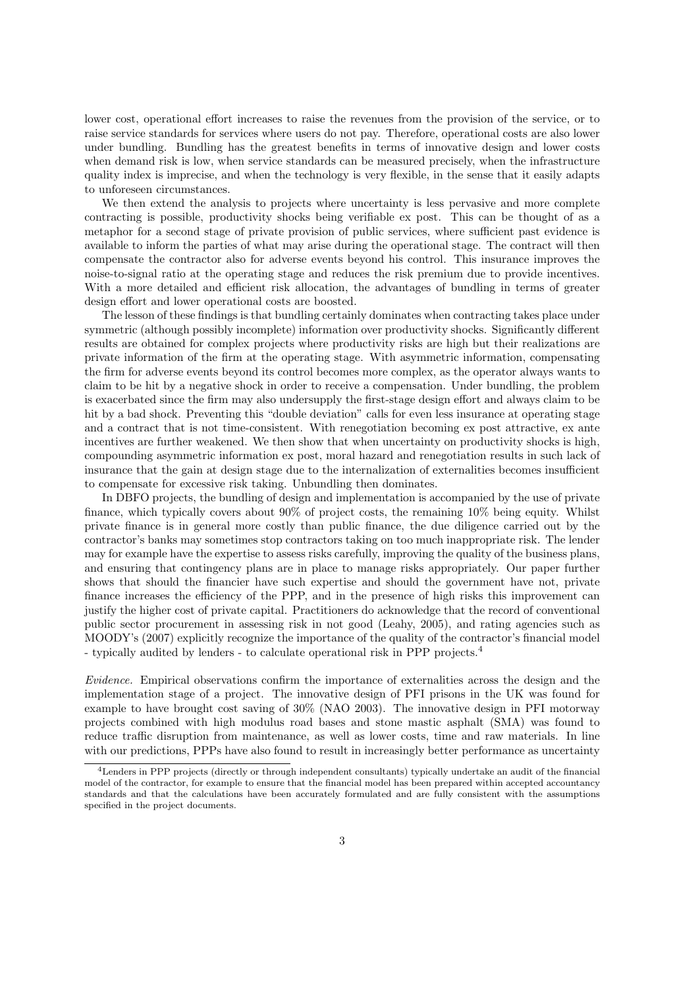lower cost, operational effort increases to raise the revenues from the provision of the service, or to raise service standards for services where users do not pay. Therefore, operational costs are also lower under bundling. Bundling has the greatest benefits in terms of innovative design and lower costs when demand risk is low, when service standards can be measured precisely, when the infrastructure quality index is imprecise, and when the technology is very flexible, in the sense that it easily adapts to unforeseen circumstances.

We then extend the analysis to projects where uncertainty is less pervasive and more complete contracting is possible, productivity shocks being verifiable ex post. This can be thought of as a metaphor for a second stage of private provision of public services, where sufficient past evidence is available to inform the parties of what may arise during the operational stage. The contract will then compensate the contractor also for adverse events beyond his control. This insurance improves the noise-to-signal ratio at the operating stage and reduces the risk premium due to provide incentives. With a more detailed and efficient risk allocation, the advantages of bundling in terms of greater design effort and lower operational costs are boosted.

The lesson of these findings is that bundling certainly dominates when contracting takes place under symmetric (although possibly incomplete) information over productivity shocks. Significantly different results are obtained for complex projects where productivity risks are high but their realizations are private information of the firm at the operating stage. With asymmetric information, compensating the firm for adverse events beyond its control becomes more complex, as the operator always wants to claim to be hit by a negative shock in order to receive a compensation. Under bundling, the problem is exacerbated since the firm may also undersupply the first-stage design effort and always claim to be hit by a bad shock. Preventing this "double deviation" calls for even less insurance at operating stage and a contract that is not time-consistent. With renegotiation becoming ex post attractive, ex ante incentives are further weakened. We then show that when uncertainty on productivity shocks is high, compounding asymmetric information ex post, moral hazard and renegotiation results in such lack of insurance that the gain at design stage due to the internalization of externalities becomes insufficient to compensate for excessive risk taking. Unbundling then dominates.

In DBFO projects, the bundling of design and implementation is accompanied by the use of private finance, which typically covers about 90% of project costs, the remaining 10% being equity. Whilst private finance is in general more costly than public finance, the due diligence carried out by the contractor's banks may sometimes stop contractors taking on too much inappropriate risk. The lender may for example have the expertise to assess risks carefully, improving the quality of the business plans, and ensuring that contingency plans are in place to manage risks appropriately. Our paper further shows that should the financier have such expertise and should the government have not, private finance increases the efficiency of the PPP, and in the presence of high risks this improvement can justify the higher cost of private capital. Practitioners do acknowledge that the record of conventional public sector procurement in assessing risk in not good (Leahy, 2005), and rating agencies such as MOODY's (2007) explicitly recognize the importance of the quality of the contractor's financial model - typically audited by lenders - to calculate operational risk in PPP projects.<sup>4</sup>

Evidence. Empirical observations confirm the importance of externalities across the design and the implementation stage of a project. The innovative design of PFI prisons in the UK was found for example to have brought cost saving of 30% (NAO 2003). The innovative design in PFI motorway projects combined with high modulus road bases and stone mastic asphalt (SMA) was found to reduce traffic disruption from maintenance, as well as lower costs, time and raw materials. In line with our predictions, PPPs have also found to result in increasingly better performance as uncertainty

<sup>4</sup>Lenders in PPP projects (directly or through independent consultants) typically undertake an audit of the financial model of the contractor, for example to ensure that the financial model has been prepared within accepted accountancy standards and that the calculations have been accurately formulated and are fully consistent with the assumptions specified in the project documents.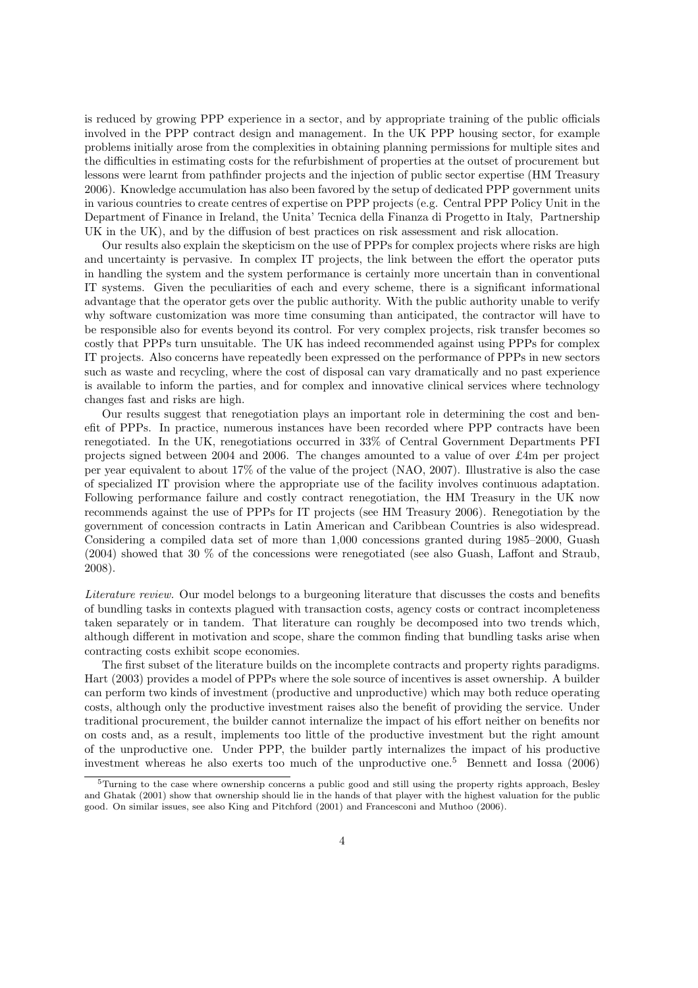is reduced by growing PPP experience in a sector, and by appropriate training of the public officials involved in the PPP contract design and management. In the UK PPP housing sector, for example problems initially arose from the complexities in obtaining planning permissions for multiple sites and the difficulties in estimating costs for the refurbishment of properties at the outset of procurement but lessons were learnt from pathfinder projects and the injection of public sector expertise (HM Treasury 2006). Knowledge accumulation has also been favored by the setup of dedicated PPP government units in various countries to create centres of expertise on PPP projects (e.g. Central PPP Policy Unit in the Department of Finance in Ireland, the Unita' Tecnica della Finanza di Progetto in Italy, Partnership UK in the UK), and by the diffusion of best practices on risk assessment and risk allocation.

Our results also explain the skepticism on the use of PPPs for complex projects where risks are high and uncertainty is pervasive. In complex IT projects, the link between the effort the operator puts in handling the system and the system performance is certainly more uncertain than in conventional IT systems. Given the peculiarities of each and every scheme, there is a significant informational advantage that the operator gets over the public authority. With the public authority unable to verify why software customization was more time consuming than anticipated, the contractor will have to be responsible also for events beyond its control. For very complex projects, risk transfer becomes so costly that PPPs turn unsuitable. The UK has indeed recommended against using PPPs for complex IT projects. Also concerns have repeatedly been expressed on the performance of PPPs in new sectors such as waste and recycling, where the cost of disposal can vary dramatically and no past experience is available to inform the parties, and for complex and innovative clinical services where technology changes fast and risks are high.

Our results suggest that renegotiation plays an important role in determining the cost and benefit of PPPs. In practice, numerous instances have been recorded where PPP contracts have been renegotiated. In the UK, renegotiations occurred in 33% of Central Government Departments PFI projects signed between 2004 and 2006. The changes amounted to a value of over £4m per project per year equivalent to about 17% of the value of the project (NAO, 2007). Illustrative is also the case of specialized IT provision where the appropriate use of the facility involves continuous adaptation. Following performance failure and costly contract renegotiation, the HM Treasury in the UK now recommends against the use of PPPs for IT projects (see HM Treasury 2006). Renegotiation by the government of concession contracts in Latin American and Caribbean Countries is also widespread. Considering a compiled data set of more than 1,000 concessions granted during 1985–2000, Guash (2004) showed that 30 % of the concessions were renegotiated (see also Guash, Laffont and Straub, 2008).

Literature review. Our model belongs to a burgeoning literature that discusses the costs and benefits of bundling tasks in contexts plagued with transaction costs, agency costs or contract incompleteness taken separately or in tandem. That literature can roughly be decomposed into two trends which, although different in motivation and scope, share the common finding that bundling tasks arise when contracting costs exhibit scope economies.

The first subset of the literature builds on the incomplete contracts and property rights paradigms. Hart (2003) provides a model of PPPs where the sole source of incentives is asset ownership. A builder can perform two kinds of investment (productive and unproductive) which may both reduce operating costs, although only the productive investment raises also the benefit of providing the service. Under traditional procurement, the builder cannot internalize the impact of his effort neither on benefits nor on costs and, as a result, implements too little of the productive investment but the right amount of the unproductive one. Under PPP, the builder partly internalizes the impact of his productive investment whereas he also exerts too much of the unproductive one.<sup>5</sup> Bennett and Iossa (2006)

<sup>&</sup>lt;sup>5</sup>Turning to the case where ownership concerns a public good and still using the property rights approach, Besley and Ghatak (2001) show that ownership should lie in the hands of that player with the highest valuation for the public good. On similar issues, see also King and Pitchford (2001) and Francesconi and Muthoo (2006).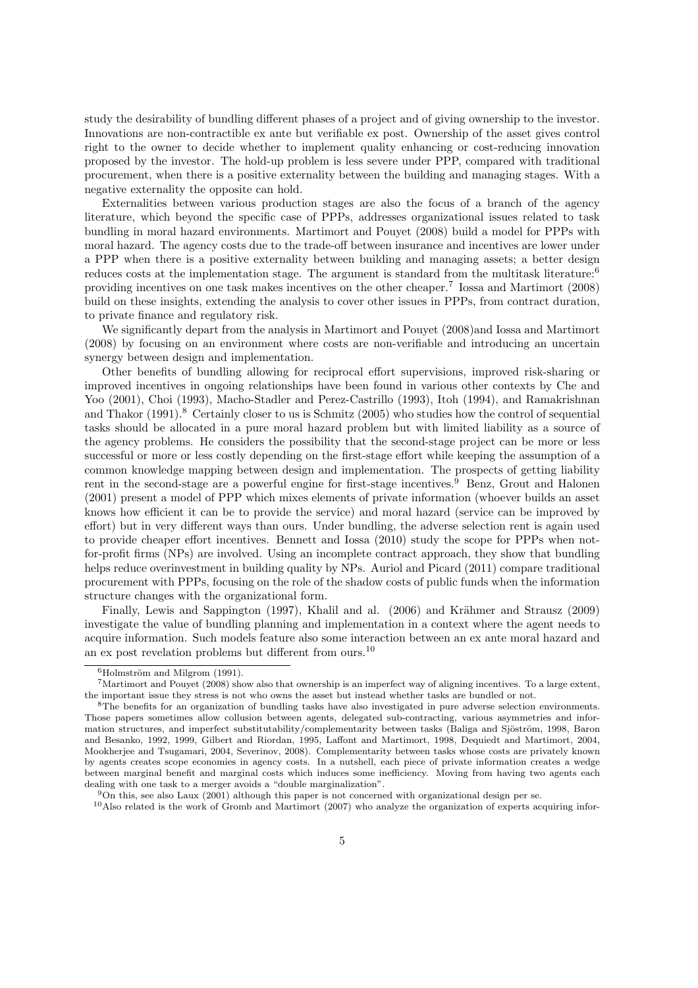study the desirability of bundling different phases of a project and of giving ownership to the investor. Innovations are non-contractible ex ante but verifiable ex post. Ownership of the asset gives control right to the owner to decide whether to implement quality enhancing or cost-reducing innovation proposed by the investor. The hold-up problem is less severe under PPP, compared with traditional procurement, when there is a positive externality between the building and managing stages. With a negative externality the opposite can hold.

Externalities between various production stages are also the focus of a branch of the agency literature, which beyond the specific case of PPPs, addresses organizational issues related to task bundling in moral hazard environments. Martimort and Pouyet (2008) build a model for PPPs with moral hazard. The agency costs due to the trade-off between insurance and incentives are lower under a PPP when there is a positive externality between building and managing assets; a better design reduces costs at the implementation stage. The argument is standard from the multitask literature:<sup>6</sup> providing incentives on one task makes incentives on the other cheaper.<sup>7</sup> Iossa and Martimort (2008) build on these insights, extending the analysis to cover other issues in PPPs, from contract duration, to private finance and regulatory risk.

We significantly depart from the analysis in Martimort and Pouyet (2008)and Iossa and Martimort (2008) by focusing on an environment where costs are non-verifiable and introducing an uncertain synergy between design and implementation.

Other benefits of bundling allowing for reciprocal effort supervisions, improved risk-sharing or improved incentives in ongoing relationships have been found in various other contexts by Che and Yoo (2001), Choi (1993), Macho-Stadler and Perez-Castrillo (1993), Itoh (1994), and Ramakrishnan and Thakor  $(1991)^8$  Certainly closer to us is Schmitz  $(2005)$  who studies how the control of sequential tasks should be allocated in a pure moral hazard problem but with limited liability as a source of the agency problems. He considers the possibility that the second-stage project can be more or less successful or more or less costly depending on the first-stage effort while keeping the assumption of a common knowledge mapping between design and implementation. The prospects of getting liability rent in the second-stage are a powerful engine for first-stage incentives.<sup>9</sup> Benz, Grout and Halonen (2001) present a model of PPP which mixes elements of private information (whoever builds an asset knows how efficient it can be to provide the service) and moral hazard (service can be improved by effort) but in very different ways than ours. Under bundling, the adverse selection rent is again used to provide cheaper effort incentives. Bennett and Iossa (2010) study the scope for PPPs when notfor-profit firms (NPs) are involved. Using an incomplete contract approach, they show that bundling helps reduce overinvestment in building quality by NPs. Auriol and Picard (2011) compare traditional procurement with PPPs, focusing on the role of the shadow costs of public funds when the information structure changes with the organizational form.

Finally, Lewis and Sappington (1997), Khalil and al. (2006) and Krähmer and Strausz (2009) investigate the value of bundling planning and implementation in a context where the agent needs to acquire information. Such models feature also some interaction between an ex ante moral hazard and an ex post revelation problems but different from ours.<sup>10</sup>

 ${}^{6}$ Holmström and Milgrom (1991).

 $7$ Martimort and Pouyet (2008) show also that ownership is an imperfect way of aligning incentives. To a large extent, the important issue they stress is not who owns the asset but instead whether tasks are bundled or not.

<sup>8</sup>The benefits for an organization of bundling tasks have also investigated in pure adverse selection environments. Those papers sometimes allow collusion between agents, delegated sub-contracting, various asymmetries and information structures, and imperfect substitutability/complementarity between tasks (Baliga and Sjöström, 1998, Baron and Besanko, 1992, 1999, Gilbert and Riordan, 1995, Laffont and Martimort, 1998, Dequiedt and Martimort, 2004, Mookherjee and Tsugamari, 2004, Severinov, 2008). Complementarity between tasks whose costs are privately known by agents creates scope economies in agency costs. In a nutshell, each piece of private information creates a wedge between marginal benefit and marginal costs which induces some inefficiency. Moving from having two agents each dealing with one task to a merger avoids a "double marginalization".

<sup>9</sup>On this, see also Laux (2001) although this paper is not concerned with organizational design per se.

 $10$ Also related is the work of Gromb and Martimort (2007) who analyze the organization of experts acquiring infor-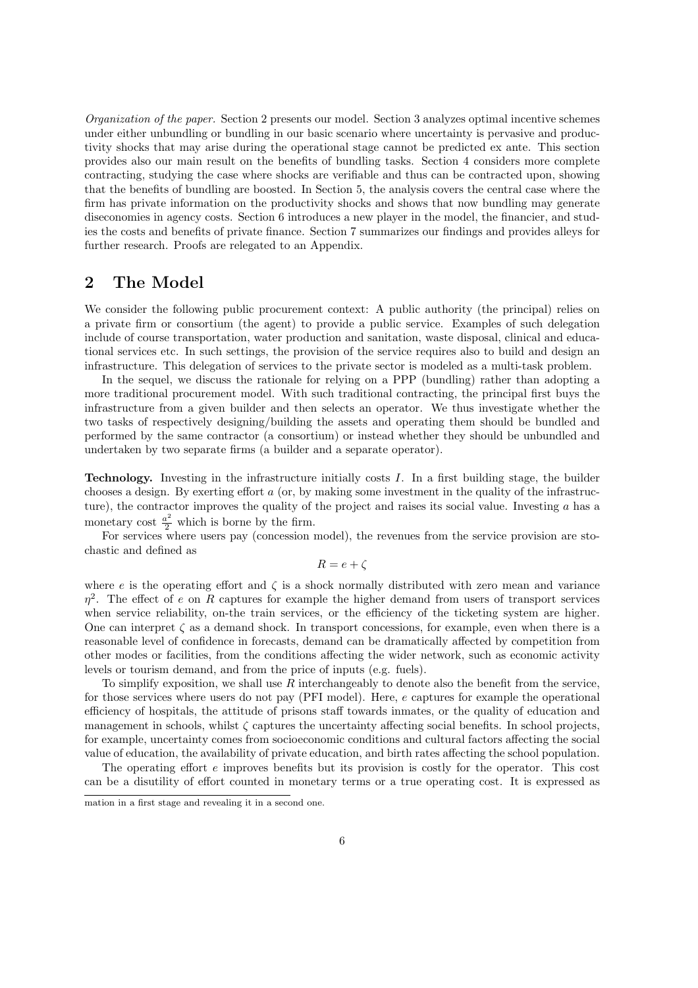Organization of the paper. Section 2 presents our model. Section 3 analyzes optimal incentive schemes under either unbundling or bundling in our basic scenario where uncertainty is pervasive and productivity shocks that may arise during the operational stage cannot be predicted ex ante. This section provides also our main result on the benefits of bundling tasks. Section 4 considers more complete contracting, studying the case where shocks are verifiable and thus can be contracted upon, showing that the benefits of bundling are boosted. In Section 5, the analysis covers the central case where the firm has private information on the productivity shocks and shows that now bundling may generate diseconomies in agency costs. Section 6 introduces a new player in the model, the financier, and studies the costs and benefits of private finance. Section 7 summarizes our findings and provides alleys for further research. Proofs are relegated to an Appendix.

## 2 The Model

We consider the following public procurement context: A public authority (the principal) relies on a private firm or consortium (the agent) to provide a public service. Examples of such delegation include of course transportation, water production and sanitation, waste disposal, clinical and educational services etc. In such settings, the provision of the service requires also to build and design an infrastructure. This delegation of services to the private sector is modeled as a multi-task problem.

In the sequel, we discuss the rationale for relying on a PPP (bundling) rather than adopting a more traditional procurement model. With such traditional contracting, the principal first buys the infrastructure from a given builder and then selects an operator. We thus investigate whether the two tasks of respectively designing/building the assets and operating them should be bundled and performed by the same contractor (a consortium) or instead whether they should be unbundled and undertaken by two separate firms (a builder and a separate operator).

Technology. Investing in the infrastructure initially costs I. In a first building stage, the builder chooses a design. By exerting effort a (or, by making some investment in the quality of the infrastructure), the contractor improves the quality of the project and raises its social value. Investing a has a monetary cost  $\frac{a^2}{2}$  which is borne by the firm.

For services where users pay (concession model), the revenues from the service provision are stochastic and defined as

$$
R=e+\zeta
$$

where e is the operating effort and  $\zeta$  is a shock normally distributed with zero mean and variance  $\eta^2$ . The effect of e on R captures for example the higher demand from users of transport services when service reliability, on-the train services, or the efficiency of the ticketing system are higher. One can interpret  $\zeta$  as a demand shock. In transport concessions, for example, even when there is a reasonable level of confidence in forecasts, demand can be dramatically affected by competition from other modes or facilities, from the conditions affecting the wider network, such as economic activity levels or tourism demand, and from the price of inputs (e.g. fuels).

To simplify exposition, we shall use  $R$  interchangeably to denote also the benefit from the service, for those services where users do not pay (PFI model). Here, e captures for example the operational efficiency of hospitals, the attitude of prisons staff towards inmates, or the quality of education and management in schools, whilst  $\zeta$  captures the uncertainty affecting social benefits. In school projects, for example, uncertainty comes from socioeconomic conditions and cultural factors affecting the social value of education, the availability of private education, and birth rates affecting the school population.

The operating effort e improves benefits but its provision is costly for the operator. This cost can be a disutility of effort counted in monetary terms or a true operating cost. It is expressed as

mation in a first stage and revealing it in a second one.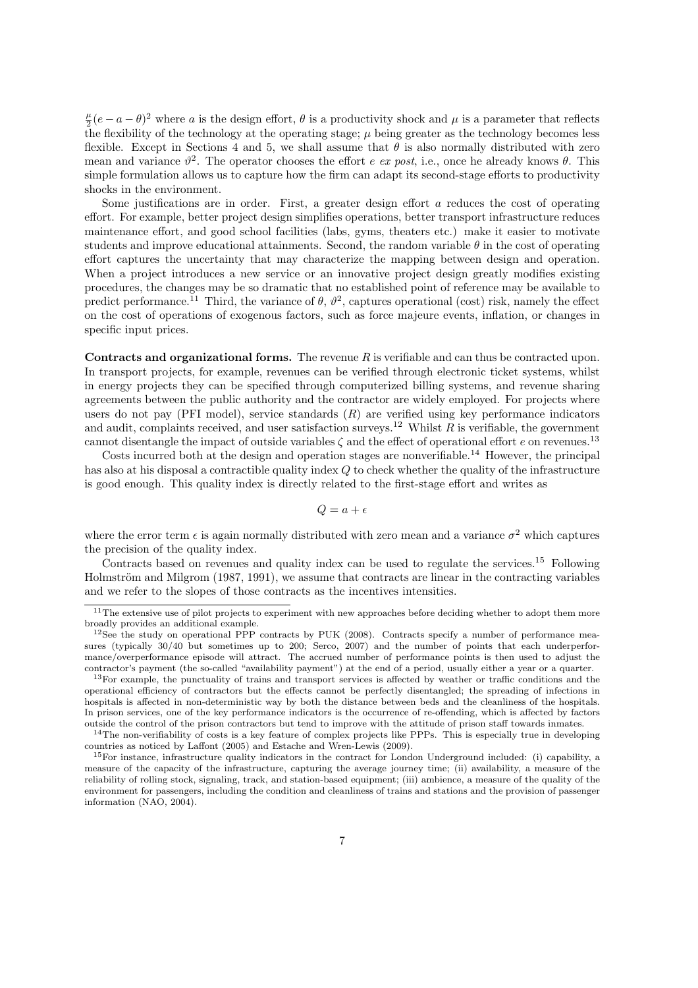$\frac{\mu}{2}(e-a-\theta)^2$  where a is the design effort,  $\theta$  is a productivity shock and  $\mu$  is a parameter that reflects the flexibility of the technology at the operating stage;  $\mu$  being greater as the technology becomes less flexible. Except in Sections 4 and 5, we shall assume that  $\theta$  is also normally distributed with zero mean and variance  $\vartheta^2$ . The operator chooses the effort e ex post, i.e., once he already knows  $\theta$ . This simple formulation allows us to capture how the firm can adapt its second-stage efforts to productivity shocks in the environment.

Some justifications are in order. First, a greater design effort  $a$  reduces the cost of operating effort. For example, better project design simplifies operations, better transport infrastructure reduces maintenance effort, and good school facilities (labs, gyms, theaters etc.) make it easier to motivate students and improve educational attainments. Second, the random variable  $\theta$  in the cost of operating effort captures the uncertainty that may characterize the mapping between design and operation. When a project introduces a new service or an innovative project design greatly modifies existing procedures, the changes may be so dramatic that no established point of reference may be available to predict performance.<sup>11</sup> Third, the variance of  $\theta$ ,  $\vartheta^2$ , captures operational (cost) risk, namely the effect on the cost of operations of exogenous factors, such as force majeure events, inflation, or changes in specific input prices.

**Contracts and organizational forms.** The revenue  $R$  is verifiable and can thus be contracted upon. In transport projects, for example, revenues can be verified through electronic ticket systems, whilst in energy projects they can be specified through computerized billing systems, and revenue sharing agreements between the public authority and the contractor are widely employed. For projects where users do not pay (PFI model), service standards  $(R)$  are verified using key performance indicators and audit, complaints received, and user satisfaction surveys.<sup>12</sup> Whilst  $\tilde{R}$  is verifiable, the government cannot disentangle the impact of outside variables  $\zeta$  and the effect of operational effort e on revenues.<sup>13</sup>

Costs incurred both at the design and operation stages are nonverifiable.<sup>14</sup> However, the principal has also at his disposal a contractible quality index Q to check whether the quality of the infrastructure is good enough. This quality index is directly related to the first-stage effort and writes as

$$
Q=a+\epsilon
$$

where the error term  $\epsilon$  is again normally distributed with zero mean and a variance  $\sigma^2$  which captures the precision of the quality index.

Contracts based on revenues and quality index can be used to regulate the services.<sup>15</sup> Following Holmström and Milgrom (1987, 1991), we assume that contracts are linear in the contracting variables and we refer to the slopes of those contracts as the incentives intensities.

<sup>&</sup>lt;sup>11</sup>The extensive use of pilot projects to experiment with new approaches before deciding whether to adopt them more broadly provides an additional example.

 $12$ See the study on operational PPP contracts by PUK (2008). Contracts specify a number of performance measures (typically  $30/40$  but sometimes up to 200; Serco, 2007) and the number of points that each underperformance/overperformance episode will attract. The accrued number of performance points is then used to adjust the contractor's payment (the so-called "availability payment") at the end of a period, usually either a year or a quarter.

<sup>&</sup>lt;sup>13</sup>For example, the punctuality of trains and transport services is affected by weather or traffic conditions and the operational efficiency of contractors but the effects cannot be perfectly disentangled; the spreading of infections in hospitals is affected in non-deterministic way by both the distance between beds and the cleanliness of the hospitals. In prison services, one of the key performance indicators is the occurrence of re-offending, which is affected by factors outside the control of the prison contractors but tend to improve with the attitude of prison staff towards inmates.

 $14$ The non-verifiability of costs is a key feature of complex projects like PPPs. This is especially true in developing countries as noticed by Laffont (2005) and Estache and Wren-Lewis (2009).

 $15$ For instance, infrastructure quality indicators in the contract for London Underground included: (i) capability, a measure of the capacity of the infrastructure, capturing the average journey time; (ii) availability, a measure of the reliability of rolling stock, signaling, track, and station-based equipment; (iii) ambience, a measure of the quality of the environment for passengers, including the condition and cleanliness of trains and stations and the provision of passenger information (NAO, 2004).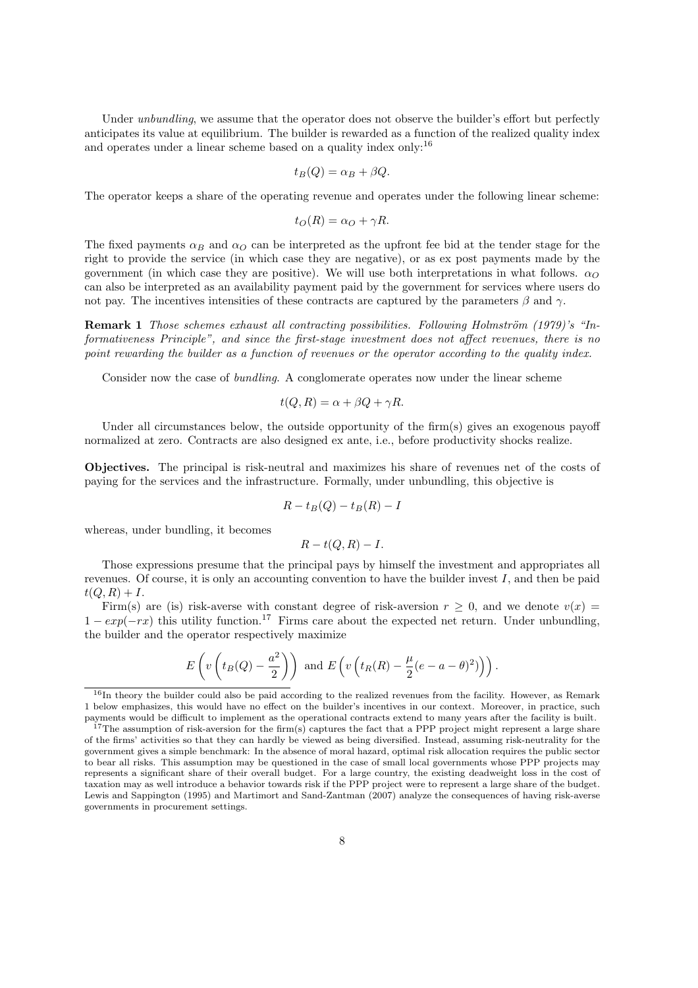Under *unbundling*, we assume that the operator does not observe the builder's effort but perfectly anticipates its value at equilibrium. The builder is rewarded as a function of the realized quality index and operates under a linear scheme based on a quality index only:<sup>16</sup>

$$
t_B(Q) = \alpha_B + \beta Q.
$$

The operator keeps a share of the operating revenue and operates under the following linear scheme:

$$
t_O(R) = \alpha_O + \gamma R.
$$

The fixed payments  $\alpha_B$  and  $\alpha_O$  can be interpreted as the upfront fee bid at the tender stage for the right to provide the service (in which case they are negative), or as ex post payments made by the government (in which case they are positive). We will use both interpretations in what follows.  $\alpha_O$ can also be interpreted as an availability payment paid by the government for services where users do not pay. The incentives intensities of these contracts are captured by the parameters  $\beta$  and  $\gamma$ .

**Remark 1** Those schemes exhaust all contracting possibilities. Following Holmström  $(1979)'s$  "Informativeness Principle", and since the first-stage investment does not affect revenues, there is no point rewarding the builder as a function of revenues or the operator according to the quality index.

Consider now the case of bundling. A conglomerate operates now under the linear scheme

$$
t(Q, R) = \alpha + \beta Q + \gamma R.
$$

Under all circumstances below, the outside opportunity of the firm(s) gives an exogenous payoff normalized at zero. Contracts are also designed ex ante, i.e., before productivity shocks realize.

Objectives. The principal is risk-neutral and maximizes his share of revenues net of the costs of paying for the services and the infrastructure. Formally, under unbundling, this objective is

$$
R - t_B(Q) - t_B(R) - I
$$

whereas, under bundling, it becomes

$$
R-t(Q,R)-I.
$$

Those expressions presume that the principal pays by himself the investment and appropriates all revenues. Of course, it is only an accounting convention to have the builder invest I, and then be paid  $t(Q, R) + I.$ 

Firm(s) are (is) risk-averse with constant degree of risk-aversion  $r \geq 0$ , and we denote  $v(x) =$  $1 - exp(-rx)$  this utility function.<sup>17</sup> Firms care about the expected net return. Under unbundling, the builder and the operator respectively maximize

$$
E\left(v\left(t_B(Q)-\frac{a^2}{2}\right)\right)
$$
 and  $E\left(v\left(t_R(R)-\frac{\mu}{2}(e-a-\theta)^2\right)\right)$ .

<sup>&</sup>lt;sup>16</sup>In theory the builder could also be paid according to the realized revenues from the facility. However, as Remark 1 below emphasizes, this would have no effect on the builder's incentives in our context. Moreover, in practice, such payments would be difficult to implement as the operational contracts extend to many years after the facility is built.

<sup>&</sup>lt;sup>17</sup>The assumption of risk-aversion for the firm(s) captures the fact that a PPP project might represent a large share of the firms' activities so that they can hardly be viewed as being diversified. Instead, assuming risk-neutrality for the government gives a simple benchmark: In the absence of moral hazard, optimal risk allocation requires the public sector to bear all risks. This assumption may be questioned in the case of small local governments whose PPP projects may represents a significant share of their overall budget. For a large country, the existing deadweight loss in the cost of taxation may as well introduce a behavior towards risk if the PPP project were to represent a large share of the budget. Lewis and Sappington (1995) and Martimort and Sand-Zantman (2007) analyze the consequences of having risk-averse governments in procurement settings.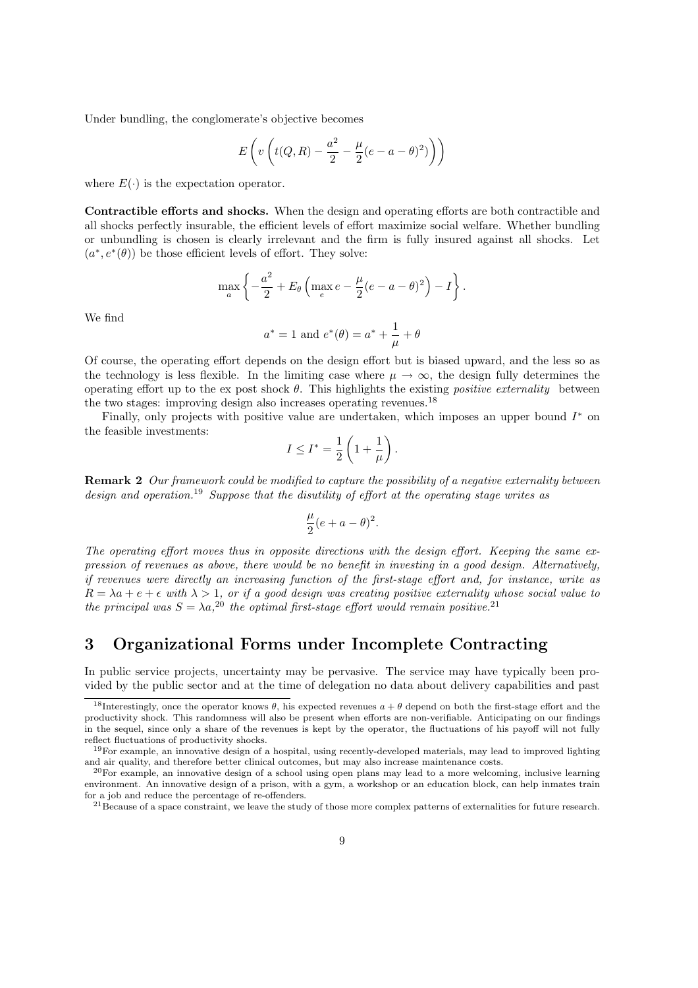Under bundling, the conglomerate's objective becomes

$$
E\left(v\left(t(Q,R)-\frac{a^2}{2}-\frac{\mu}{2}(e-a-\theta)^2)\right)\right)
$$

where  $E(\cdot)$  is the expectation operator.

Contractible efforts and shocks. When the design and operating efforts are both contractible and all shocks perfectly insurable, the efficient levels of effort maximize social welfare. Whether bundling or unbundling is chosen is clearly irrelevant and the firm is fully insured against all shocks. Let  $(a^*, e^*(\theta))$  be those efficient levels of effort. They solve:

$$
\max_{a} \left\{ -\frac{a^2}{2} + E_{\theta} \left( \max_{e} e - \frac{\mu}{2} (e - a - \theta)^2 \right) - I \right\}.
$$

We find

$$
a^* = 1
$$
 and  $e^*(\theta) = a^* + \frac{1}{\mu} + \theta$ 

Of course, the operating effort depends on the design effort but is biased upward, and the less so as the technology is less flexible. In the limiting case where  $\mu \to \infty$ , the design fully determines the operating effort up to the ex post shock  $\theta$ . This highlights the existing *positive externality* between the two stages: improving design also increases operating revenues.<sup>18</sup>

Finally, only projects with positive value are undertaken, which imposes an upper bound  $I^*$  on the feasible investments:  $\overline{a}$  $\mathbf{r}$ 

$$
I \leq I^* = \frac{1}{2} \left( 1 + \frac{1}{\mu} \right).
$$

Remark 2 Our framework could be modified to capture the possibility of a negative externality between design and operation.<sup>19</sup> Suppose that the disutility of effort at the operating stage writes as

$$
\frac{\mu}{2}(e+a-\theta)^2.
$$

The operating effort moves thus in opposite directions with the design effort. Keeping the same expression of revenues as above, there would be no benefit in investing in a good design. Alternatively, if revenues were directly an increasing function of the first-stage effort and, for instance, write as  $R = \lambda a + e + \epsilon$  with  $\lambda > 1$ , or if a good design was creating positive externality whose social value to the principal was  $S = \lambda a$ <sup>20</sup> the optimal first-stage effort would remain positive.<sup>21</sup>

## 3 Organizational Forms under Incomplete Contracting

In public service projects, uncertainty may be pervasive. The service may have typically been provided by the public sector and at the time of delegation no data about delivery capabilities and past

<sup>&</sup>lt;sup>18</sup>Interestingly, once the operator knows  $\theta$ , his expected revenues  $a + \theta$  depend on both the first-stage effort and the productivity shock. This randomness will also be present when efforts are non-verifiable. Anticipating on our findings in the sequel, since only a share of the revenues is kept by the operator, the fluctuations of his payoff will not fully reflect fluctuations of productivity shocks.

<sup>19</sup>For example, an innovative design of a hospital, using recently-developed materials, may lead to improved lighting and air quality, and therefore better clinical outcomes, but may also increase maintenance costs.

 $^{20}$ For example, an innovative design of a school using open plans may lead to a more welcoming, inclusive learning environment. An innovative design of a prison, with a gym, a workshop or an education block, can help inmates train for a job and reduce the percentage of re-offenders.

 $^{21}$ Because of a space constraint, we leave the study of those more complex patterns of externalities for future research.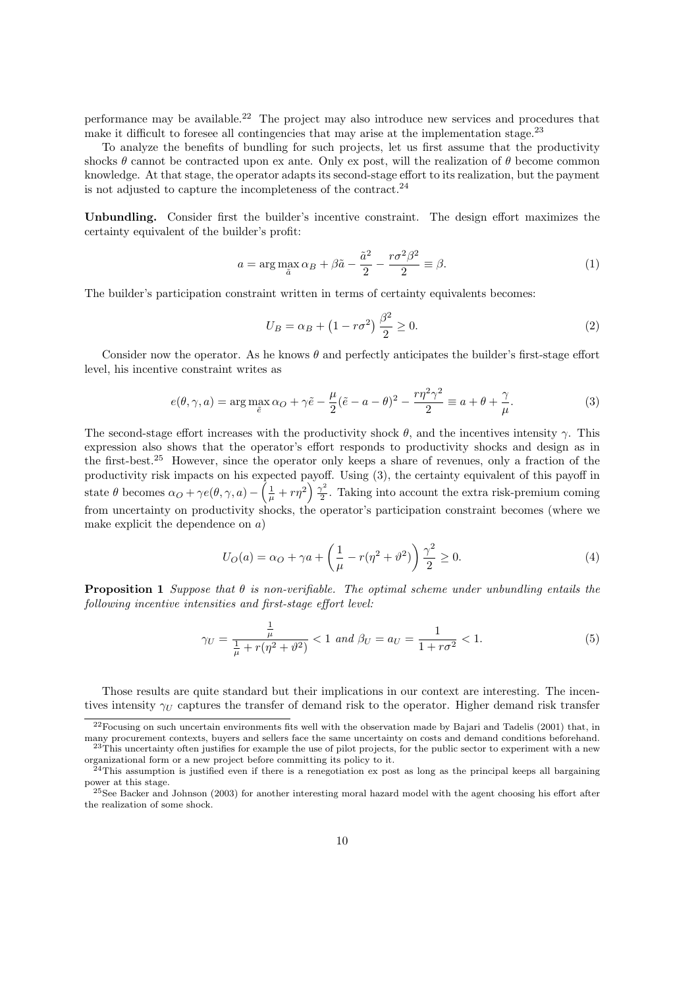performance may be available.<sup>22</sup> The project may also introduce new services and procedures that make it difficult to foresee all contingencies that may arise at the implementation stage.<sup>23</sup>

To analyze the benefits of bundling for such projects, let us first assume that the productivity shocks  $\theta$  cannot be contracted upon ex ante. Only ex post, will the realization of  $\theta$  become common knowledge. At that stage, the operator adapts its second-stage effort to its realization, but the payment is not adjusted to capture the incompleteness of the contract. $^{24}$ 

Unbundling. Consider first the builder's incentive constraint. The design effort maximizes the certainty equivalent of the builder's profit:

$$
a = \arg\max_{\tilde{a}} \alpha_B + \beta \tilde{a} - \frac{\tilde{a}^2}{2} - \frac{r\sigma^2 \beta^2}{2} \equiv \beta.
$$
 (1)

The builder's participation constraint written in terms of certainty equivalents becomes:

$$
U_B = \alpha_B + (1 - r\sigma^2) \frac{\beta^2}{2} \ge 0.
$$
 (2)

Consider now the operator. As he knows  $\theta$  and perfectly anticipates the builder's first-stage effort level, his incentive constraint writes as

$$
e(\theta, \gamma, a) = \arg \max_{\tilde{e}} \alpha_O + \gamma \tilde{e} - \frac{\mu}{2} (\tilde{e} - a - \theta)^2 - \frac{r \eta^2 \gamma^2}{2} \equiv a + \theta + \frac{\gamma}{\mu}.
$$
 (3)

The second-stage effort increases with the productivity shock  $\theta$ , and the incentives intensity γ. This expression also shows that the operator's effort responds to productivity shocks and design as in the first-best.<sup>25</sup> However, since the operator only keeps a share of revenues, only a fraction of the productivity risk impacts on his expected payoff. Using  $(3)$ , the certainty equivalent of this payoff in state  $\theta$  becomes  $\alpha_O + \gamma e(\theta, \gamma, a) - \left(\frac{1}{\mu} + r\eta^2\right) \frac{\gamma^2}{2}$  $\frac{\gamma^2}{2}$ . Taking into account the extra risk-premium coming from uncertainty on productivity shocks, the operator's participation constraint becomes (where we make explicit the dependence on  $a$ )

$$
U_O(a) = \alpha_O + \gamma a + \left(\frac{1}{\mu} - r(\eta^2 + \vartheta^2)\right) \frac{\gamma^2}{2} \ge 0.
$$
 (4)

**Proposition 1** Suppose that  $\theta$  is non-verifiable. The optimal scheme under unbundling entails the following incentive intensities and first-stage effort level:

$$
\gamma_U = \frac{\frac{1}{\mu}}{\frac{1}{\mu} + r(\eta^2 + \vartheta^2)} < 1 \text{ and } \beta_U = a_U = \frac{1}{1 + r\sigma^2} < 1. \tag{5}
$$

Those results are quite standard but their implications in our context are interesting. The incentives intensity  $\gamma_U$  captures the transfer of demand risk to the operator. Higher demand risk transfer

 $^{22}$ Focusing on such uncertain environments fits well with the observation made by Bajari and Tadelis (2001) that, in many procurement contexts, buyers and sellers face the same uncertainty on costs and demand conditions beforehand.  $^{23}$ This uncertainty often justifies for example the use of pilot projects, for the public sector to experiment with a new

organizational form or a new project before committing its policy to it.

 $^{24}$ This assumption is justified even if there is a renegotiation ex post as long as the principal keeps all bargaining power at this stage.

 $^{25}$ See Backer and Johnson (2003) for another interesting moral hazard model with the agent choosing his effort after the realization of some shock.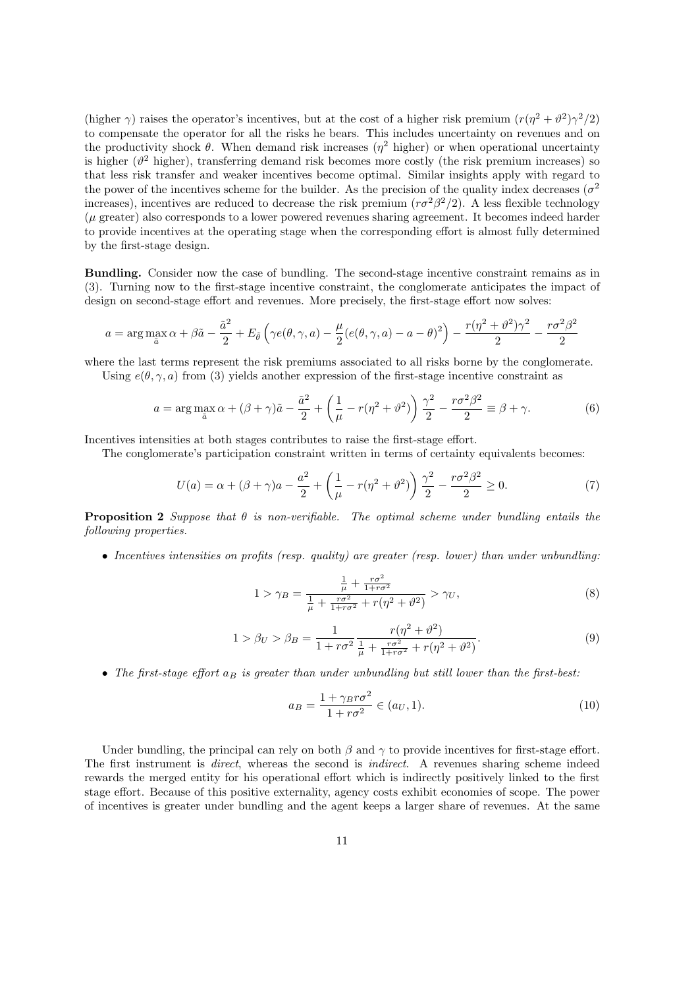(higher  $\gamma$ ) raises the operator's incentives, but at the cost of a higher risk premium  $(r(\eta^2 + \vartheta^2)\gamma^2/2)$ to compensate the operator for all the risks he bears. This includes uncertainty on revenues and on the productivity shock  $\theta$ . When demand risk increases ( $\eta^2$  higher) or when operational uncertainty is higher  $(\vartheta^2$  higher), transferring demand risk becomes more costly (the risk premium increases) so that less risk transfer and weaker incentives become optimal. Similar insights apply with regard to the power of the incentives scheme for the builder. As the precision of the quality index decreases ( $\sigma^2$ ) increases), incentives are reduced to decrease the risk premium  $(r\sigma^2\beta^2/2)$ . A less flexible technology (µ greater) also corresponds to a lower powered revenues sharing agreement. It becomes indeed harder to provide incentives at the operating stage when the corresponding effort is almost fully determined by the first-stage design.

Bundling. Consider now the case of bundling. The second-stage incentive constraint remains as in (3). Turning now to the first-stage incentive constraint, the conglomerate anticipates the impact of design on second-stage effort and revenues. More precisely, the first-stage effort now solves:

$$
a = \arg\max_{\tilde{a}} \alpha + \beta \tilde{a} - \frac{\tilde{a}^2}{2} + E_{\tilde{\theta}} \left( \gamma e(\theta, \gamma, a) - \frac{\mu}{2} (e(\theta, \gamma, a) - a - \theta)^2 \right) - \frac{r(\eta^2 + \vartheta^2)\gamma^2}{2} - \frac{r\sigma^2\beta^2}{2}
$$

where the last terms represent the risk premiums associated to all risks borne by the conglomerate.

Using  $e(\theta, \gamma, a)$  from (3) yields another expression of the first-stage incentive constraint as

$$
a = \arg\max_{\tilde{a}} \alpha + (\beta + \gamma)\tilde{a} - \frac{\tilde{a}^2}{2} + \left(\frac{1}{\mu} - r(\eta^2 + \vartheta^2)\right)\frac{\gamma^2}{2} - \frac{r\sigma^2\beta^2}{2} \equiv \beta + \gamma.
$$
 (6)

Incentives intensities at both stages contributes to raise the first-stage effort.

The conglomerate's participation constraint written in terms of certainty equivalents becomes:

$$
U(a) = \alpha + (\beta + \gamma)a - \frac{a^2}{2} + \left(\frac{1}{\mu} - r(\eta^2 + \vartheta^2)\right)\frac{\gamma^2}{2} - \frac{r\sigma^2\beta^2}{2} \ge 0.
$$
 (7)

**Proposition 2** Suppose that  $\theta$  is non-verifiable. The optimal scheme under bundling entails the following properties.

• Incentives intensities on profits (resp. quality) are greater (resp. lower) than under unbundling:

$$
1 > \gamma_B = \frac{\frac{1}{\mu} + \frac{r\sigma^2}{1 + r\sigma^2}}{\frac{1}{\mu} + \frac{r\sigma^2}{1 + r\sigma^2} + r(\eta^2 + \vartheta^2)} > \gamma_U,
$$
\n(8)

$$
1 > \beta_U > \beta_B = \frac{1}{1 + r\sigma^2} \frac{r(\eta^2 + \vartheta^2)}{\frac{1}{\mu} + \frac{r\sigma^2}{1 + r\sigma^2} + r(\eta^2 + \vartheta^2)}.
$$
(9)

• The first-stage effort  $a_B$  is greater than under unbundling but still lower than the first-best:

$$
a_B = \frac{1 + \gamma_B r \sigma^2}{1 + r \sigma^2} \in (a_U, 1). \tag{10}
$$

Under bundling, the principal can rely on both  $\beta$  and  $\gamma$  to provide incentives for first-stage effort. The first instrument is direct, whereas the second is indirect. A revenues sharing scheme indeed rewards the merged entity for his operational effort which is indirectly positively linked to the first stage effort. Because of this positive externality, agency costs exhibit economies of scope. The power of incentives is greater under bundling and the agent keeps a larger share of revenues. At the same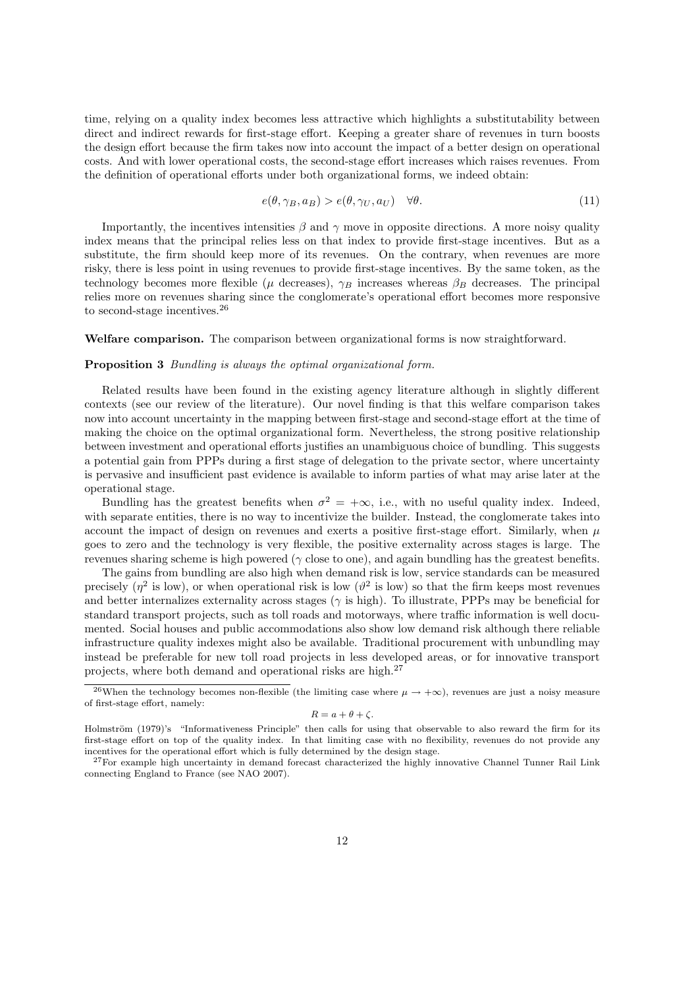time, relying on a quality index becomes less attractive which highlights a substitutability between direct and indirect rewards for first-stage effort. Keeping a greater share of revenues in turn boosts the design effort because the firm takes now into account the impact of a better design on operational costs. And with lower operational costs, the second-stage effort increases which raises revenues. From the definition of operational efforts under both organizational forms, we indeed obtain:

$$
e(\theta, \gamma_B, a_B) > e(\theta, \gamma_U, a_U) \quad \forall \theta.
$$
\n
$$
(11)
$$

Importantly, the incentives intensities  $\beta$  and  $\gamma$  move in opposite directions. A more noisy quality index means that the principal relies less on that index to provide first-stage incentives. But as a substitute, the firm should keep more of its revenues. On the contrary, when revenues are more risky, there is less point in using revenues to provide first-stage incentives. By the same token, as the technology becomes more flexible ( $\mu$  decreases),  $\gamma_B$  increases whereas  $\beta_B$  decreases. The principal relies more on revenues sharing since the conglomerate's operational effort becomes more responsive to second-stage incentives.<sup>26</sup>

#### Welfare comparison. The comparison between organizational forms is now straightforward.

#### Proposition 3 Bundling is always the optimal organizational form.

Related results have been found in the existing agency literature although in slightly different contexts (see our review of the literature). Our novel finding is that this welfare comparison takes now into account uncertainty in the mapping between first-stage and second-stage effort at the time of making the choice on the optimal organizational form. Nevertheless, the strong positive relationship between investment and operational efforts justifies an unambiguous choice of bundling. This suggests a potential gain from PPPs during a first stage of delegation to the private sector, where uncertainty is pervasive and insufficient past evidence is available to inform parties of what may arise later at the operational stage.

Bundling has the greatest benefits when  $\sigma^2 = +\infty$ , i.e., with no useful quality index. Indeed, with separate entities, there is no way to incentivize the builder. Instead, the conglomerate takes into account the impact of design on revenues and exerts a positive first-stage effort. Similarly, when  $\mu$ goes to zero and the technology is very flexible, the positive externality across stages is large. The revenues sharing scheme is high powered ( $\gamma$  close to one), and again bundling has the greatest benefits.

The gains from bundling are also high when demand risk is low, service standards can be measured precisely ( $\eta^2$  is low), or when operational risk is low ( $\vartheta^2$  is low) so that the firm keeps most revenues and better internalizes externality across stages ( $\gamma$  is high). To illustrate, PPPs may be beneficial for standard transport projects, such as toll roads and motorways, where traffic information is well documented. Social houses and public accommodations also show low demand risk although there reliable infrastructure quality indexes might also be available. Traditional procurement with unbundling may instead be preferable for new toll road projects in less developed areas, or for innovative transport projects, where both demand and operational risks are high.<sup>27</sup>

$$
R = a + \theta + \zeta.
$$

<sup>&</sup>lt;sup>26</sup>When the technology becomes non-flexible (the limiting case where  $\mu \to +\infty$ ), revenues are just a noisy measure of first-stage effort, namely:

Holmström (1979)'s "Informativeness Principle" then calls for using that observable to also reward the firm for its first-stage effort on top of the quality index. In that limiting case with no flexibility, revenues do not provide any incentives for the operational effort which is fully determined by the design stage.

<sup>&</sup>lt;sup>27</sup>For example high uncertainty in demand forecast characterized the highly innovative Channel Tunner Rail Link connecting England to France (see NAO 2007).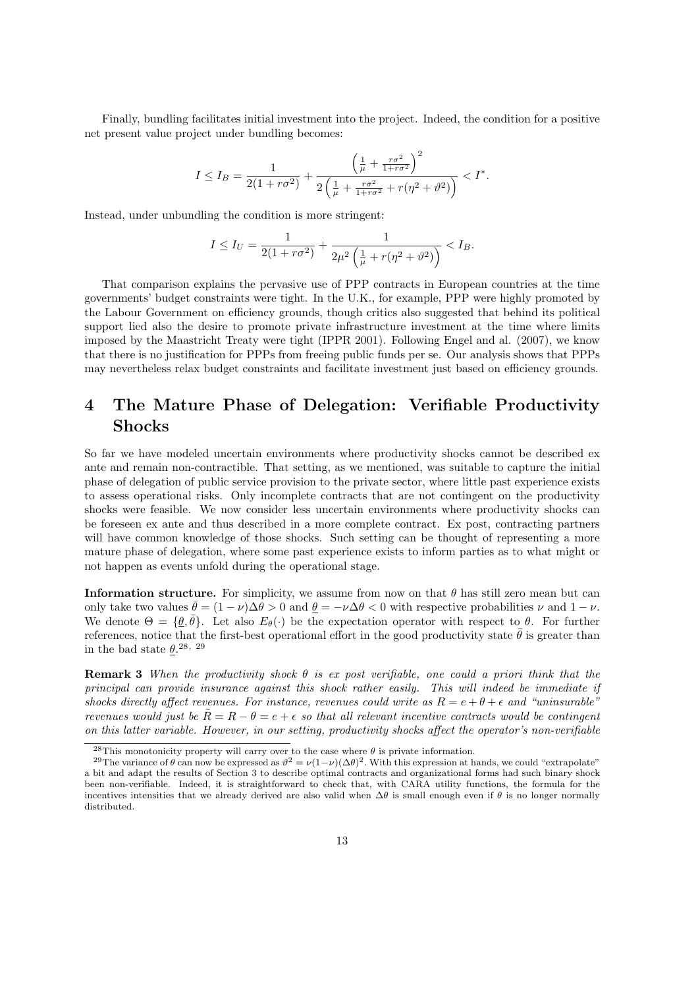Finally, bundling facilitates initial investment into the project. Indeed, the condition for a positive net present value project under bundling becomes:

$$
I \leq I_B = \frac{1}{2(1+r\sigma^2)} + \frac{\left(\frac{1}{\mu} + \frac{r\sigma^2}{1+r\sigma^2}\right)^2}{2\left(\frac{1}{\mu} + \frac{r\sigma^2}{1+r\sigma^2} + r(\eta^2 + \vartheta^2)\right)} < I^*.
$$

Instead, under unbundling the condition is more stringent:

$$
I \le I_U = \frac{1}{2(1+r\sigma^2)} + \frac{1}{2\mu^2 \left(\frac{1}{\mu} + r(\eta^2 + \vartheta^2)\right)} < I_B.
$$

That comparison explains the pervasive use of PPP contracts in European countries at the time governments' budget constraints were tight. In the U.K., for example, PPP were highly promoted by the Labour Government on efficiency grounds, though critics also suggested that behind its political support lied also the desire to promote private infrastructure investment at the time where limits imposed by the Maastricht Treaty were tight (IPPR 2001). Following Engel and al. (2007), we know that there is no justification for PPPs from freeing public funds per se. Our analysis shows that PPPs may nevertheless relax budget constraints and facilitate investment just based on efficiency grounds.

## 4 The Mature Phase of Delegation: Verifiable Productivity Shocks

So far we have modeled uncertain environments where productivity shocks cannot be described ex ante and remain non-contractible. That setting, as we mentioned, was suitable to capture the initial phase of delegation of public service provision to the private sector, where little past experience exists to assess operational risks. Only incomplete contracts that are not contingent on the productivity shocks were feasible. We now consider less uncertain environments where productivity shocks can be foreseen ex ante and thus described in a more complete contract. Ex post, contracting partners will have common knowledge of those shocks. Such setting can be thought of representing a more mature phase of delegation, where some past experience exists to inform parties as to what might or not happen as events unfold during the operational stage.

**Information structure.** For simplicity, we assume from now on that  $\theta$  has still zero mean but can only take two values  $\theta = (1 - \nu)\Delta\theta > 0$  and  $\underline{\theta} = -\nu\Delta\theta < 0$  with respective probabilities  $\nu$  and  $1 - \nu$ . We denote  $\Theta = {\theta, \bar{\theta}}$ . Let also  $E_{\theta}(\cdot)$  be the expectation operator with respect to  $\theta$ . For further references, notice that the first-best operational effort in the good productivity state  $\bar{\theta}$  is greater than in the bad state  $\underline{\theta}$ .<sup>28, 29</sup>

**Remark 3** When the productivity shock  $\theta$  is ex post verifiable, one could a priori think that the principal can provide insurance against this shock rather easily. This will indeed be immediate if shocks directly affect revenues. For instance, revenues could write as  $R = e + \theta + \epsilon$  and "uninsurable" revenues would just be  $\tilde{R} = R - \theta = e + \epsilon$  so that all relevant incentive contracts would be contingent on this latter variable. However, in our setting, productivity shocks affect the operator's non-verifiable

<sup>&</sup>lt;sup>28</sup>This monotonicity property will carry over to the case where  $\theta$  is private information.

<sup>&</sup>lt;sup>29</sup>The variance of  $\theta$  can now be expressed as  $\theta^2 = \nu(1-\nu)(\Delta\theta)^2$ . With this expression at hands, we could "extrapolate" a bit and adapt the results of Section 3 to describe optimal contracts and organizational forms had such binary shock been non-verifiable. Indeed, it is straightforward to check that, with CARA utility functions, the formula for the incentives intensities that we already derived are also valid when  $\Delta\theta$  is small enough even if  $\theta$  is no longer normally distributed.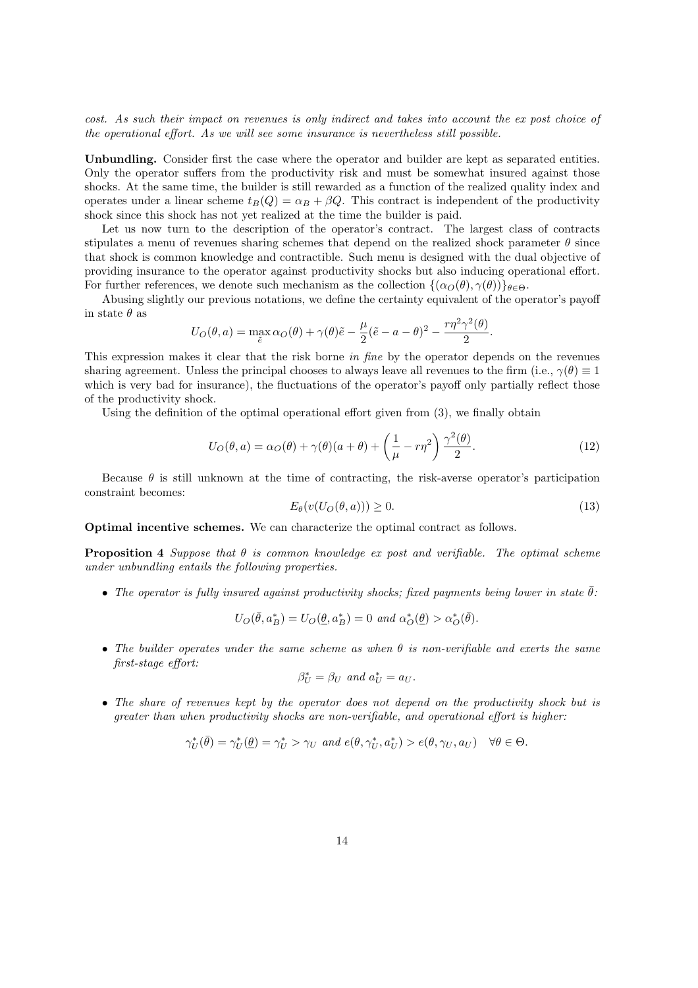cost. As such their impact on revenues is only indirect and takes into account the ex post choice of the operational effort. As we will see some insurance is nevertheless still possible.

Unbundling. Consider first the case where the operator and builder are kept as separated entities. Only the operator suffers from the productivity risk and must be somewhat insured against those shocks. At the same time, the builder is still rewarded as a function of the realized quality index and operates under a linear scheme  $t_B(Q) = \alpha_B + \beta Q$ . This contract is independent of the productivity shock since this shock has not yet realized at the time the builder is paid.

Let us now turn to the description of the operator's contract. The largest class of contracts stipulates a menu of revenues sharing schemes that depend on the realized shock parameter  $\theta$  since that shock is common knowledge and contractible. Such menu is designed with the dual objective of providing insurance to the operator against productivity shocks but also inducing operational effort. For further references, we denote such mechanism as the collection  $\{(\alpha_{\Omega}(\theta), \gamma(\theta))\}_{\theta \in \Theta}$ .

Abusing slightly our previous notations, we define the certainty equivalent of the operator's payoff in state  $\theta$  as

$$
U_O(\theta, a) = \max_{\tilde{e}} \alpha_O(\theta) + \gamma(\theta)\tilde{e} - \frac{\mu}{2}(\tilde{e} - a - \theta)^2 - \frac{r\eta^2\gamma^2(\theta)}{2}.
$$

This expression makes it clear that the risk borne in fine by the operator depends on the revenues sharing agreement. Unless the principal chooses to always leave all revenues to the firm (i.e.,  $\gamma(\theta) \equiv 1$ which is very bad for insurance), the fluctuations of the operator's payoff only partially reflect those of the productivity shock.

Using the definition of the optimal operational effort given from (3), we finally obtain

$$
U_O(\theta, a) = \alpha_O(\theta) + \gamma(\theta)(a + \theta) + \left(\frac{1}{\mu} - r\eta^2\right) \frac{\gamma^2(\theta)}{2}.
$$
 (12)

Because  $\theta$  is still unknown at the time of contracting, the risk-averse operator's participation constraint becomes:

$$
E_{\theta}(v(U_O(\theta, a))) \ge 0. \tag{13}
$$

Optimal incentive schemes. We can characterize the optimal contract as follows.

**Proposition 4** Suppose that  $\theta$  is common knowledge ex post and verifiable. The optimal scheme under unbundling entails the following properties.

• The operator is fully insured against productivity shocks; fixed payments being lower in state  $\bar{\theta}$ :

$$
U_O(\bar{\theta}, a^*_B) = U_O(\underline{\theta}, a^*_B) = 0 \text{ and } \alpha^*_O(\underline{\theta}) > \alpha^*_O(\bar{\theta}).
$$

• The builder operates under the same scheme as when  $\theta$  is non-verifiable and exerts the same first-stage effort:

$$
\beta^*_U=\beta_U\ \ and\ a^*_U=a_U.
$$

• The share of revenues kept by the operator does not depend on the productivity shock but is greater than when productivity shocks are non-verifiable, and operational effort is higher:

$$
\gamma_U^*(\bar{\theta}) = \gamma_U^*(\underline{\theta}) = \gamma_U^* > \gamma_U \text{ and } e(\theta, \gamma_U^*, a_U^*) > e(\theta, \gamma_U, a_U) \quad \forall \theta \in \Theta.
$$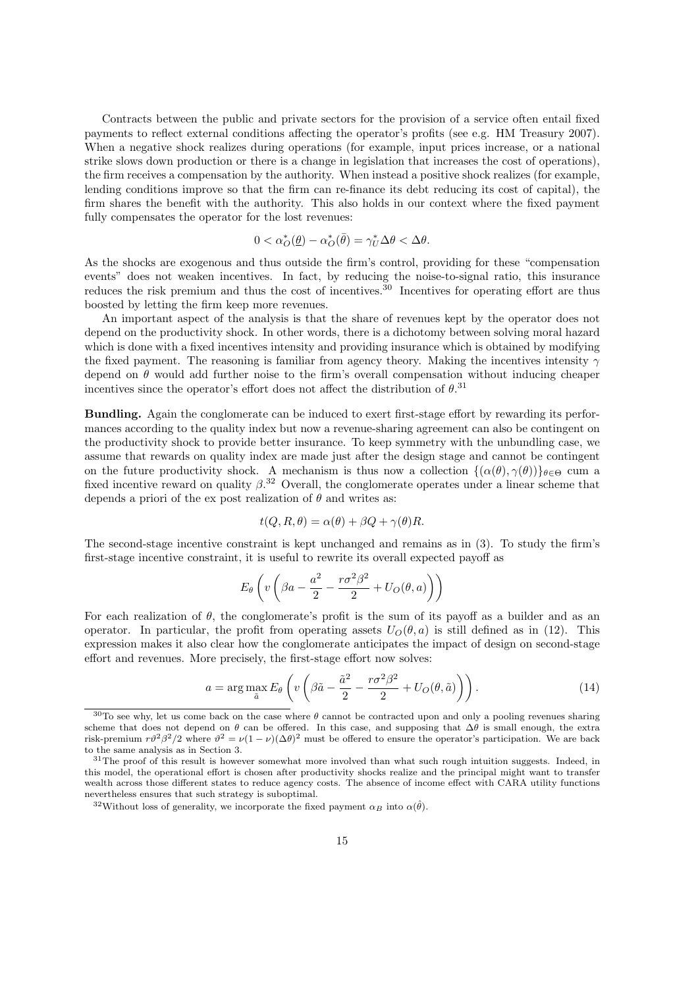Contracts between the public and private sectors for the provision of a service often entail fixed payments to reflect external conditions affecting the operator's profits (see e.g. HM Treasury 2007). When a negative shock realizes during operations (for example, input prices increase, or a national strike slows down production or there is a change in legislation that increases the cost of operations), the firm receives a compensation by the authority. When instead a positive shock realizes (for example, lending conditions improve so that the firm can re-finance its debt reducing its cost of capital), the firm shares the benefit with the authority. This also holds in our context where the fixed payment fully compensates the operator for the lost revenues:

$$
0 < \alpha_O^*(\underline{\theta}) - \alpha_O^*(\bar{\theta}) = \gamma_U^* \Delta \theta < \Delta \theta.
$$

As the shocks are exogenous and thus outside the firm's control, providing for these "compensation events" does not weaken incentives. In fact, by reducing the noise-to-signal ratio, this insurance reduces the risk premium and thus the cost of incentives.<sup>30</sup> Incentives for operating effort are thus boosted by letting the firm keep more revenues.

An important aspect of the analysis is that the share of revenues kept by the operator does not depend on the productivity shock. In other words, there is a dichotomy between solving moral hazard which is done with a fixed incentives intensity and providing insurance which is obtained by modifying the fixed payment. The reasoning is familiar from agency theory. Making the incentives intensity  $\gamma$ depend on  $\theta$  would add further noise to the firm's overall compensation without inducing cheaper incentives since the operator's effort does not affect the distribution of  $\theta$ .<sup>31</sup>

Bundling. Again the conglomerate can be induced to exert first-stage effort by rewarding its performances according to the quality index but now a revenue-sharing agreement can also be contingent on the productivity shock to provide better insurance. To keep symmetry with the unbundling case, we assume that rewards on quality index are made just after the design stage and cannot be contingent on the future productivity shock. A mechanism is thus now a collection  $\{(\alpha(\theta), \gamma(\theta))\}_{\theta \in \Theta}$  cum a fixed incentive reward on quality  $\beta$ <sup>32</sup> Overall, the conglomerate operates under a linear scheme that depends a priori of the ex post realization of  $\theta$  and writes as:

$$
t(Q, R, \theta) = \alpha(\theta) + \beta Q + \gamma(\theta)R.
$$

The second-stage incentive constraint is kept unchanged and remains as in (3). To study the firm's first-stage incentive constraint, it is useful to rewrite its overall expected payoff as

$$
E_{\theta}\left(v\left(\beta a - \frac{a^2}{2} - \frac{r\sigma^2\beta^2}{2} + U_O(\theta, a)\right)\right)
$$

For each realization of  $\theta$ , the conglomerate's profit is the sum of its payoff as a builder and as an operator. In particular, the profit from operating assets  $U_O(\theta, a)$  is still defined as in (12). This expression makes it also clear how the conglomerate anticipates the impact of design on second-stage effort and revenues. More precisely, the first-stage effort now solves:

$$
a = \arg\max_{\tilde{a}} E_{\theta} \left( v \left( \beta \tilde{a} - \frac{\tilde{a}^2}{2} - \frac{r \sigma^2 \beta^2}{2} + U_O(\theta, \tilde{a}) \right) \right). \tag{14}
$$

 $30$ To see why, let us come back on the case where  $\theta$  cannot be contracted upon and only a pooling revenues sharing scheme that does not depend on  $\theta$  can be offered. In this case, and supposing that  $\Delta\theta$  is small enough, the extra risk-premium  $r\theta^2\beta^2/2$  where  $\theta^2 = \nu(1-\nu)(\Delta\theta)^2$  must be offered to ensure the operator's participation. We are back to the same analysis as in Section 3.

<sup>&</sup>lt;sup>31</sup>The proof of this result is however somewhat more involved than what such rough intuition suggests. Indeed, in this model, the operational effort is chosen after productivity shocks realize and the principal might want to transfer wealth across those different states to reduce agency costs. The absence of income effect with CARA utility functions nevertheless ensures that such strategy is suboptimal.

<sup>&</sup>lt;sup>32</sup>Without loss of generality, we incorporate the fixed payment  $\alpha_B$  into  $\alpha(\hat{\theta})$ .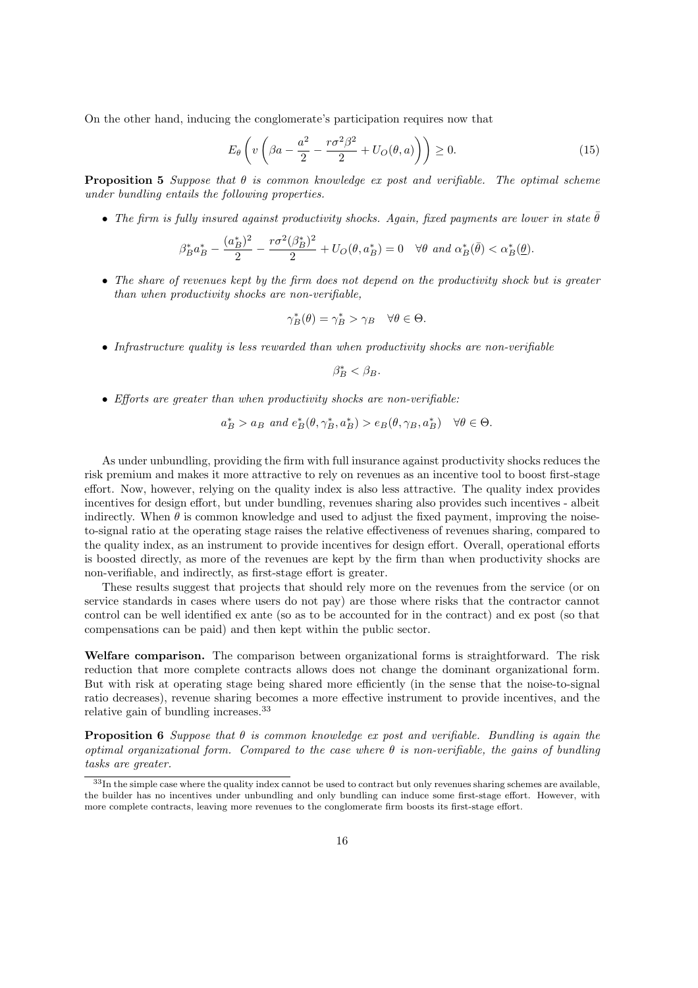On the other hand, inducing the conglomerate's participation requires now that

$$
E_{\theta}\left(v\left(\beta a - \frac{a^2}{2} - \frac{r\sigma^2\beta^2}{2} + U_O(\theta, a)\right)\right) \ge 0.
$$
\n(15)

**Proposition 5** Suppose that  $\theta$  is common knowledge ex post and verifiable. The optimal scheme under bundling entails the following properties.

• The firm is fully insured against productivity shocks. Again, fixed payments are lower in state  $\bar{\theta}$ 

$$
\beta_B^* a_B^* - \frac{(a_B^*)^2}{2} - \frac{r\sigma^2(\beta_B^*)^2}{2} + U_O(\theta, a_B^*) = 0 \quad \forall \theta \text{ and } \alpha_B^*(\bar{\theta}) < \alpha_B^*(\underline{\theta}).
$$

• The share of revenues kept by the firm does not depend on the productivity shock but is greater than when productivity shocks are non-verifiable,

$$
\gamma_B^*(\theta) = \gamma_B^* > \gamma_B \quad \forall \theta \in \Theta.
$$

• Infrastructure quality is less rewarded than when productivity shocks are non-verifiable

$$
\beta_B^* < \beta_B.
$$

• Efforts are greater than when productivity shocks are non-verifiable:

$$
a_B^* > a_B
$$
 and  $e_B^*(\theta, \gamma_B^*, a_B^*) > e_B(\theta, \gamma_B, a_B^*) \quad \forall \theta \in \Theta.$ 

As under unbundling, providing the firm with full insurance against productivity shocks reduces the risk premium and makes it more attractive to rely on revenues as an incentive tool to boost first-stage effort. Now, however, relying on the quality index is also less attractive. The quality index provides incentives for design effort, but under bundling, revenues sharing also provides such incentives - albeit indirectly. When  $\theta$  is common knowledge and used to adjust the fixed payment, improving the noiseto-signal ratio at the operating stage raises the relative effectiveness of revenues sharing, compared to the quality index, as an instrument to provide incentives for design effort. Overall, operational efforts is boosted directly, as more of the revenues are kept by the firm than when productivity shocks are non-verifiable, and indirectly, as first-stage effort is greater.

These results suggest that projects that should rely more on the revenues from the service (or on service standards in cases where users do not pay) are those where risks that the contractor cannot control can be well identified ex ante (so as to be accounted for in the contract) and ex post (so that compensations can be paid) and then kept within the public sector.

Welfare comparison. The comparison between organizational forms is straightforward. The risk reduction that more complete contracts allows does not change the dominant organizational form. But with risk at operating stage being shared more efficiently (in the sense that the noise-to-signal ratio decreases), revenue sharing becomes a more effective instrument to provide incentives, and the relative gain of bundling increases.<sup>33</sup>

**Proposition 6** Suppose that  $\theta$  is common knowledge ex post and verifiable. Bundling is again the optimal organizational form. Compared to the case where  $\theta$  is non-verifiable, the gains of bundling tasks are greater.

<sup>33</sup>In the simple case where the quality index cannot be used to contract but only revenues sharing schemes are available, the builder has no incentives under unbundling and only bundling can induce some first-stage effort. However, with more complete contracts, leaving more revenues to the conglomerate firm boosts its first-stage effort.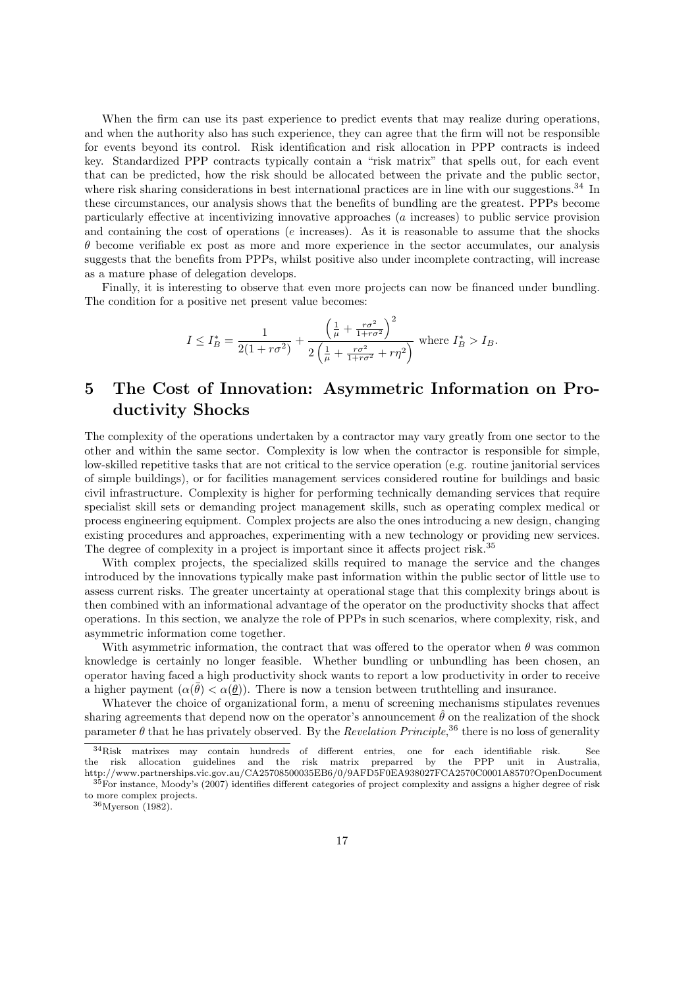When the firm can use its past experience to predict events that may realize during operations, and when the authority also has such experience, they can agree that the firm will not be responsible for events beyond its control. Risk identification and risk allocation in PPP contracts is indeed key. Standardized PPP contracts typically contain a "risk matrix" that spells out, for each event that can be predicted, how the risk should be allocated between the private and the public sector, where risk sharing considerations in best international practices are in line with our suggestions.<sup>34</sup> In these circumstances, our analysis shows that the benefits of bundling are the greatest. PPPs become particularly effective at incentivizing innovative approaches (a increases) to public service provision and containing the cost of operations (e increases). As it is reasonable to assume that the shocks  $\theta$  become verifiable ex post as more and more experience in the sector accumulates, our analysis suggests that the benefits from PPPs, whilst positive also under incomplete contracting, will increase as a mature phase of delegation develops.

Finally, it is interesting to observe that even more projects can now be financed under bundling. The condition for a positive net present value becomes:

$$
I \le I_B^* = \frac{1}{2(1 + r\sigma^2)} + \frac{\left(\frac{1}{\mu} + \frac{r\sigma^2}{1 + r\sigma^2}\right)^2}{2\left(\frac{1}{\mu} + \frac{r\sigma^2}{1 + r\sigma^2} + r\eta^2\right)}
$$
 where  $I_B^* > I_B$ .

## 5 The Cost of Innovation: Asymmetric Information on Productivity Shocks

The complexity of the operations undertaken by a contractor may vary greatly from one sector to the other and within the same sector. Complexity is low when the contractor is responsible for simple, low-skilled repetitive tasks that are not critical to the service operation (e.g. routine janitorial services of simple buildings), or for facilities management services considered routine for buildings and basic civil infrastructure. Complexity is higher for performing technically demanding services that require specialist skill sets or demanding project management skills, such as operating complex medical or process engineering equipment. Complex projects are also the ones introducing a new design, changing existing procedures and approaches, experimenting with a new technology or providing new services. The degree of complexity in a project is important since it affects project risk.<sup>35</sup>

With complex projects, the specialized skills required to manage the service and the changes introduced by the innovations typically make past information within the public sector of little use to assess current risks. The greater uncertainty at operational stage that this complexity brings about is then combined with an informational advantage of the operator on the productivity shocks that affect operations. In this section, we analyze the role of PPPs in such scenarios, where complexity, risk, and asymmetric information come together.

With asymmetric information, the contract that was offered to the operator when  $\theta$  was common knowledge is certainly no longer feasible. Whether bundling or unbundling has been chosen, an operator having faced a high productivity shock wants to report a low productivity in order to receive a higher payment  $(\alpha(\bar{\theta}) < \alpha(\bar{\theta}))$ . There is now a tension between truthtelling and insurance.

Whatever the choice of organizational form, a menu of screening mechanisms stipulates revenues sharing agreements that depend now on the operator's announcement  $\hat{\theta}$  on the realization of the shock parameter  $\theta$  that he has privately observed. By the *Revelation Principle*,<sup>36</sup> there is no loss of generality

 $34$ Risk matrixes may contain hundreds of different entries, one for each identifiable risk. the risk allocation guidelines and the risk matrix preparred by the PPP unit in Australia, http://www.partnerships.vic.gov.au/CA25708500035EB6/0/9AFD5F0EA938027FCA2570C0001A8570?OpenDocument

<sup>35</sup>For instance, Moody's (2007) identifies different categories of project complexity and assigns a higher degree of risk to more complex projects. <sup>36</sup>Myerson (1982).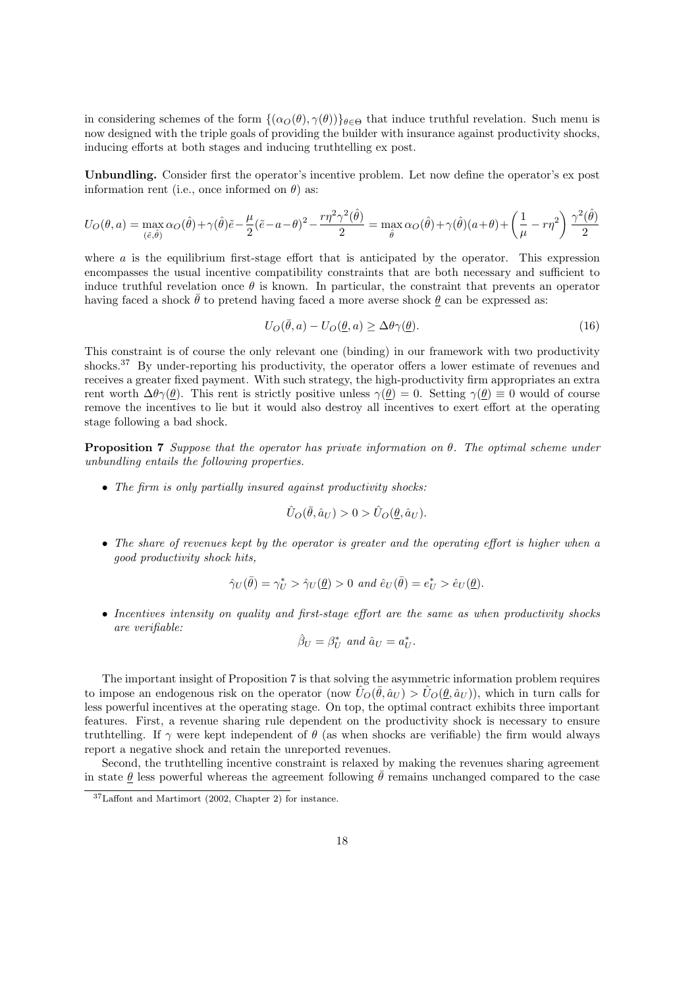in considering schemes of the form  $\{(\alpha_{\mathcal{O}}(\theta), \gamma(\theta))\}_{\theta \in \Theta}$  that induce truthful revelation. Such menu is now designed with the triple goals of providing the builder with insurance against productivity shocks, inducing efforts at both stages and inducing truthtelling ex post.

Unbundling. Consider first the operator's incentive problem. Let now define the operator's ex post information rent (i.e., once informed on  $\theta$ ) as:

$$
U_O(\theta, a) = \max_{(\tilde{e}, \hat{\theta})} \alpha_O(\hat{\theta}) + \gamma(\hat{\theta})\tilde{e} - \frac{\mu}{2}(\tilde{e} - a - \theta)^2 - \frac{r\eta^2\gamma^2(\hat{\theta})}{2} = \max_{\hat{\theta}} \alpha_O(\hat{\theta}) + \gamma(\hat{\theta})(a + \theta) + \left(\frac{1}{\mu} - r\eta^2\right)\frac{\gamma^2(\hat{\theta})}{2}
$$

where  $\alpha$  is the equilibrium first-stage effort that is anticipated by the operator. This expression encompasses the usual incentive compatibility constraints that are both necessary and sufficient to induce truthful revelation once  $\theta$  is known. In particular, the constraint that prevents an operator having faced a shock  $\bar{\theta}$  to pretend having faced a more averse shock  $\theta$  can be expressed as:

$$
U_O(\bar{\theta}, a) - U_O(\underline{\theta}, a) \ge \Delta \theta \gamma(\underline{\theta}). \tag{16}
$$

This constraint is of course the only relevant one (binding) in our framework with two productivity shocks.<sup>37</sup> By under-reporting his productivity, the operator offers a lower estimate of revenues and receives a greater fixed payment. With such strategy, the high-productivity firm appropriates an extra rent worth  $\Delta\theta\gamma(\theta)$ . This rent is strictly positive unless  $\gamma(\theta) = 0$ . Setting  $\gamma(\theta) \equiv 0$  would of course remove the incentives to lie but it would also destroy all incentives to exert effort at the operating stage following a bad shock.

**Proposition 7** Suppose that the operator has private information on  $\theta$ . The optimal scheme under unbundling entails the following properties.

• The firm is only partially insured against productivity shocks:

$$
\hat{U}_O(\bar{\theta}, \hat{a}_U) > 0 > \hat{U}_O(\underline{\theta}, \hat{a}_U).
$$

• The share of revenues kept by the operator is greater and the operating effort is higher when a good productivity shock hits,

$$
\hat{\gamma}_U(\bar{\theta}) = \gamma_U^* > \hat{\gamma}_U(\underline{\theta}) > 0 \text{ and } \hat{e}_U(\bar{\theta}) = e_U^* > \hat{e}_U(\underline{\theta}).
$$

• Incentives intensity on quality and first-stage effort are the same as when productivity shocks are verifiable:

$$
\hat{\beta}_U=\beta^*_U\ and\ \hat{a}_U=a^*_U.
$$

The important insight of Proposition 7 is that solving the asymmetric information problem requires to impose an endogenous risk on the operator (now  $\hat{U}_{\mathcal{O}}(\bar{\theta}, \hat{a}_U) > \hat{U}_{\mathcal{O}}(\underline{\theta}, \hat{a}_U)$ ), which in turn calls for less powerful incentives at the operating stage. On top, the optimal contract exhibits three important features. First, a revenue sharing rule dependent on the productivity shock is necessary to ensure truthtelling. If  $\gamma$  were kept independent of  $\theta$  (as when shocks are verifiable) the firm would always report a negative shock and retain the unreported revenues.

Second, the truthtelling incentive constraint is relaxed by making the revenues sharing agreement in state  $\theta$  less powerful whereas the agreement following  $\bar{\theta}$  remains unchanged compared to the case

 $37$ Laffont and Martimort (2002, Chapter 2) for instance.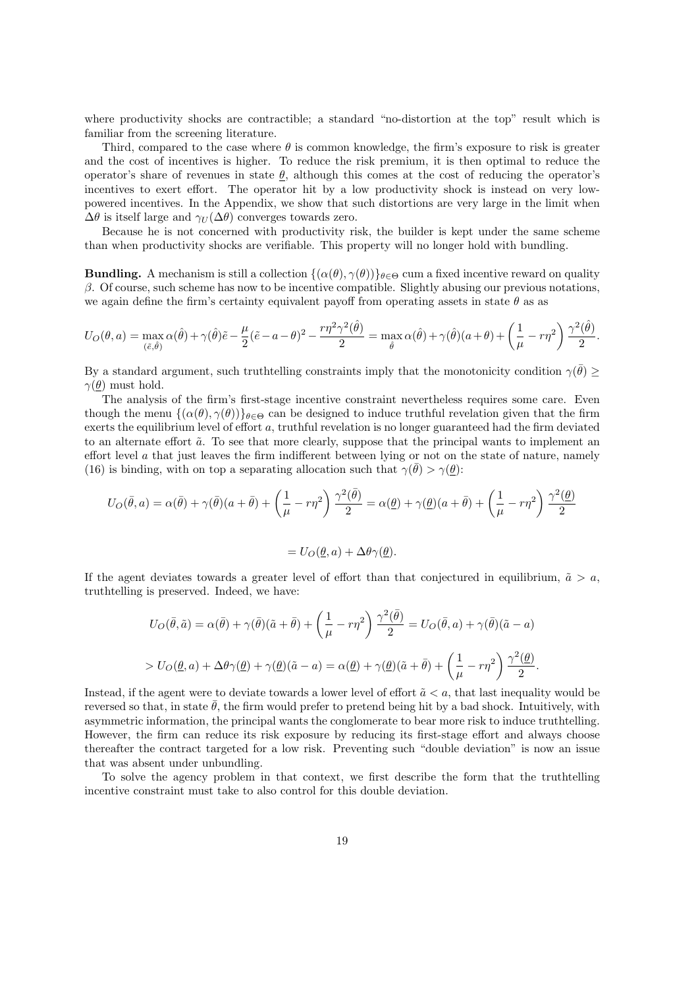where productivity shocks are contractible; a standard "no-distortion at the top" result which is familiar from the screening literature.

Third, compared to the case where  $\theta$  is common knowledge, the firm's exposure to risk is greater and the cost of incentives is higher. To reduce the risk premium, it is then optimal to reduce the operator's share of revenues in state  $\theta$ , although this comes at the cost of reducing the operator's incentives to exert effort. The operator hit by a low productivity shock is instead on very lowpowered incentives. In the Appendix, we show that such distortions are very large in the limit when  $\Delta\theta$  is itself large and  $\gamma_U(\Delta\theta)$  converges towards zero.

Because he is not concerned with productivity risk, the builder is kept under the same scheme than when productivity shocks are verifiable. This property will no longer hold with bundling.

**Bundling.** A mechanism is still a collection  $\{(\alpha(\theta), \gamma(\theta))\}_{\theta \in \Theta}$  cum a fixed incentive reward on quality  $\beta$ . Of course, such scheme has now to be incentive compatible. Slightly abusing our previous notations, we again define the firm's certainty equivalent payoff from operating assets in state  $\theta$  as as

$$
U_O(\theta, a) = \max_{(\tilde{e}, \hat{\theta})} \alpha(\hat{\theta}) + \gamma(\hat{\theta})\tilde{e} - \frac{\mu}{2}(\tilde{e} - a - \theta)^2 - \frac{r\eta^2\gamma^2(\hat{\theta})}{2} = \max_{\hat{\theta}} \alpha(\hat{\theta}) + \gamma(\hat{\theta})(a + \theta) + \left(\frac{1}{\mu} - r\eta^2\right)\frac{\gamma^2(\hat{\theta})}{2}.
$$

By a standard argument, such truthtelling constraints imply that the monotonicity condition  $\gamma(\bar{\theta}) \geq$  $\gamma(\theta)$  must hold.

The analysis of the firm's first-stage incentive constraint nevertheless requires some care. Even though the menu  $\{(\alpha(\theta), \gamma(\theta))\}_{\theta \in \Theta}$  can be designed to induce truthful revelation given that the firm exerts the equilibrium level of effort a, truthful revelation is no longer guaranteed had the firm deviated to an alternate effort  $\tilde{a}$ . To see that more clearly, suppose that the principal wants to implement an effort level a that just leaves the firm indifferent between lying or not on the state of nature, namely (16) is binding, with on top a separating allocation such that  $\gamma(\bar{\theta}) > \gamma(\underline{\theta})$ :

$$
U_O(\bar{\theta}, a) = \alpha(\bar{\theta}) + \gamma(\bar{\theta})(a + \bar{\theta}) + \left(\frac{1}{\mu} - r\eta^2\right)\frac{\gamma^2(\bar{\theta})}{2} = \alpha(\underline{\theta}) + \gamma(\underline{\theta})(a + \bar{\theta}) + \left(\frac{1}{\mu} - r\eta^2\right)\frac{\gamma^2(\underline{\theta})}{2}
$$

$$
= U_O(\underline{\theta}, a) + \Delta\theta\gamma(\underline{\theta}).
$$

If the agent deviates towards a greater level of effort than that conjectured in equilibrium,  $\tilde{a} > a$ , truthtelling is preserved. Indeed, we have:

$$
U_O(\bar{\theta}, \tilde{a}) = \alpha(\bar{\theta}) + \gamma(\bar{\theta})(\tilde{a} + \bar{\theta}) + \left(\frac{1}{\mu} - r\eta^2\right) \frac{\gamma^2(\bar{\theta})}{2} = U_O(\bar{\theta}, a) + \gamma(\bar{\theta})(\tilde{a} - a)
$$
  
> 
$$
U_O(\underline{\theta}, a) + \Delta\theta\gamma(\underline{\theta}) + \gamma(\underline{\theta})(\tilde{a} - a) = \alpha(\underline{\theta}) + \gamma(\underline{\theta})(\tilde{a} + \bar{\theta}) + \left(\frac{1}{\mu} - r\eta^2\right) \frac{\gamma^2(\underline{\theta})}{2}.
$$

Instead, if the agent were to deviate towards a lower level of effort  $\tilde{a} < a$ , that last inequality would be reversed so that, in state  $\theta$ , the firm would prefer to pretend being hit by a bad shock. Intuitively, with asymmetric information, the principal wants the conglomerate to bear more risk to induce truthtelling. However, the firm can reduce its risk exposure by reducing its first-stage effort and always choose thereafter the contract targeted for a low risk. Preventing such "double deviation" is now an issue that was absent under unbundling.

To solve the agency problem in that context, we first describe the form that the truthtelling incentive constraint must take to also control for this double deviation.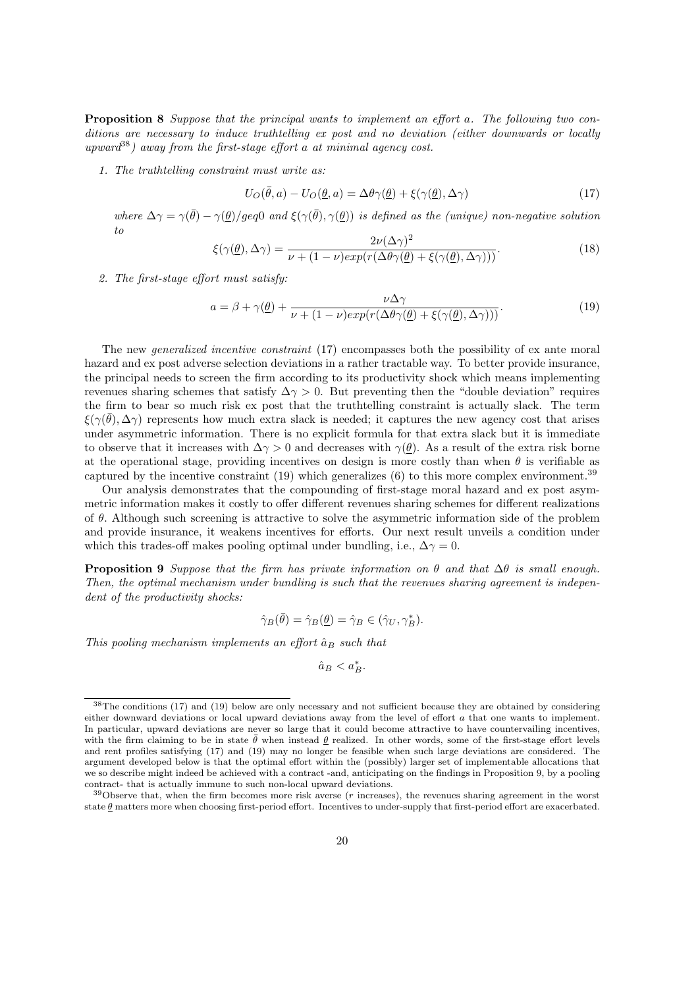Proposition 8 Suppose that the principal wants to implement an effort a. The following two conditions are necessary to induce truthtelling ex post and no deviation (either downwards or locally upward<sup>38</sup>) away from the first-stage effort a at minimal agency cost.

1. The truthtelling constraint must write as:

$$
U_O(\bar{\theta}, a) - U_O(\underline{\theta}, a) = \Delta\theta\gamma(\underline{\theta}) + \xi(\gamma(\underline{\theta}), \Delta\gamma)
$$
\n(17)

where  $\Delta\gamma = \gamma(\bar{\theta}) - \gamma(\underline{\theta})/geq0$  and  $\xi(\gamma(\bar{\theta}), \gamma(\underline{\theta}))$  is defined as the (unique) non-negative solution to

$$
\xi(\gamma(\underline{\theta}), \Delta \gamma) = \frac{2\nu(\Delta \gamma)^2}{\nu + (1 - \nu)exp(r(\Delta \theta \gamma(\underline{\theta}) + \xi(\gamma(\underline{\theta}), \Delta \gamma)))}.
$$
\n(18)

2. The first-stage effort must satisfy:

$$
a = \beta + \gamma(\underline{\theta}) + \frac{\nu \Delta \gamma}{\nu + (1 - \nu)exp(r(\Delta \theta \gamma(\underline{\theta}) + \xi(\gamma(\underline{\theta}), \Delta \gamma)))}.
$$
\n(19)

The new *generalized incentive constraint* (17) encompasses both the possibility of ex ante moral hazard and ex post adverse selection deviations in a rather tractable way. To better provide insurance, the principal needs to screen the firm according to its productivity shock which means implementing revenues sharing schemes that satisfy  $\Delta \gamma > 0$ . But preventing then the "double deviation" requires the firm to bear so much risk ex post that the truthtelling constraint is actually slack. The term  $\xi(\gamma(\bar{\theta}), \Delta \gamma)$  represents how much extra slack is needed; it captures the new agency cost that arises under asymmetric information. There is no explicit formula for that extra slack but it is immediate to observe that it increases with  $\Delta \gamma > 0$  and decreases with  $\gamma(\theta)$ . As a result of the extra risk borne at the operational stage, providing incentives on design is more costly than when  $\theta$  is verifiable as captured by the incentive constraint  $(19)$  which generalizes  $(6)$  to this more complex environment.<sup>39</sup>

Our analysis demonstrates that the compounding of first-stage moral hazard and ex post asymmetric information makes it costly to offer different revenues sharing schemes for different realizations of  $\theta$ . Although such screening is attractive to solve the asymmetric information side of the problem and provide insurance, it weakens incentives for efforts. Our next result unveils a condition under which this trades-off makes pooling optimal under bundling, i.e.,  $\Delta \gamma = 0$ .

**Proposition 9** Suppose that the firm has private information on  $\theta$  and that  $\Delta\theta$  is small enough. Then, the optimal mechanism under bundling is such that the revenues sharing agreement is independent of the productivity shocks:

$$
\hat{\gamma}_B(\bar{\theta}) = \hat{\gamma}_B(\underline{\theta}) = \hat{\gamma}_B \in (\hat{\gamma}_U, \gamma_B^*).
$$

This pooling mechanism implements an effort  $\hat{a}_B$  such that

 $\hat{a}_B < a_B^*$ .

<sup>&</sup>lt;sup>38</sup>The conditions (17) and (19) below are only necessary and not sufficient because they are obtained by considering either downward deviations or local upward deviations away from the level of effort a that one wants to implement. In particular, upward deviations are never so large that it could become attractive to have countervailing incentives, with the firm claiming to be in state  $\bar{\theta}$  when instead  $\theta$  realized. In other words, some of the first-stage effort levels and rent profiles satisfying (17) and (19) may no longer be feasible when such large deviations are considered. The argument developed below is that the optimal effort within the (possibly) larger set of implementable allocations that we so describe might indeed be achieved with a contract -and, anticipating on the findings in Proposition 9, by a pooling contract- that is actually immune to such non-local upward deviations.

 $39$ Observe that, when the firm becomes more risk averse ( $r$  increases), the revenues sharing agreement in the worst state  $\theta$  matters more when choosing first-period effort. Incentives to under-supply that first-period effort are exacerbated.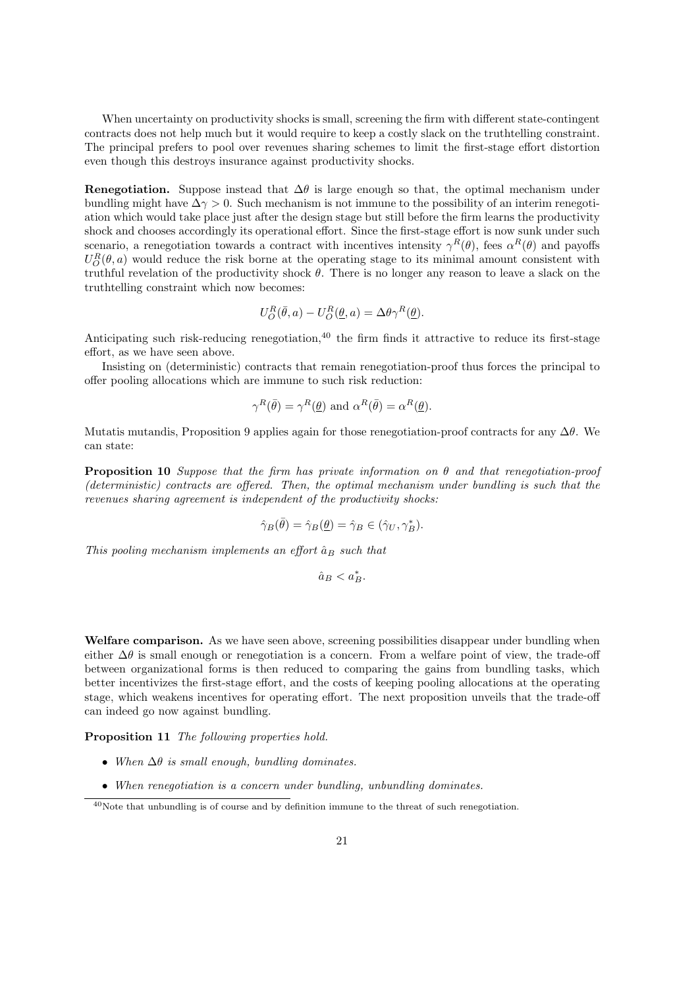When uncertainty on productivity shocks is small, screening the firm with different state-contingent contracts does not help much but it would require to keep a costly slack on the truthtelling constraint. The principal prefers to pool over revenues sharing schemes to limit the first-stage effort distortion even though this destroys insurance against productivity shocks.

Renegotiation. Suppose instead that  $\Delta\theta$  is large enough so that, the optimal mechanism under bundling might have  $\Delta \gamma > 0$ . Such mechanism is not immune to the possibility of an interim renegotiation which would take place just after the design stage but still before the firm learns the productivity shock and chooses accordingly its operational effort. Since the first-stage effort is now sunk under such scenario, a renegotiation towards a contract with incentives intensity  $\gamma^R(\theta)$ , fees  $\alpha^R(\theta)$  and payoffs  $U_O^R(\theta, a)$  would reduce the risk borne at the operating stage to its minimal amount consistent with truthful revelation of the productivity shock  $\theta$ . There is no longer any reason to leave a slack on the truthtelling constraint which now becomes:

$$
U_O^R(\bar{\theta}, a) - U_O^R(\underline{\theta}, a) = \Delta \theta \gamma^R(\underline{\theta}).
$$

Anticipating such risk-reducing renegotiation, $40$  the firm finds it attractive to reduce its first-stage effort, as we have seen above.

Insisting on (deterministic) contracts that remain renegotiation-proof thus forces the principal to offer pooling allocations which are immune to such risk reduction:

$$
\gamma^R(\bar{\theta}) = \gamma^R(\underline{\theta})
$$
 and  $\alpha^R(\bar{\theta}) = \alpha^R(\underline{\theta})$ .

Mutatis mutandis, Proposition 9 applies again for those renegotiation-proof contracts for any  $\Delta\theta$ . We can state:

**Proposition 10** Suppose that the firm has private information on  $\theta$  and that renegotiation-proof (deterministic) contracts are offered. Then, the optimal mechanism under bundling is such that the revenues sharing agreement is independent of the productivity shocks:

$$
\hat{\gamma}_B(\bar{\theta}) = \hat{\gamma}_B(\underline{\theta}) = \hat{\gamma}_B \in (\hat{\gamma}_U, \gamma_B^*).
$$

This pooling mechanism implements an effort  $\hat{a}_B$  such that

 $\hat{a}_B < a_B^*$ .

Welfare comparison. As we have seen above, screening possibilities disappear under bundling when either  $\Delta\theta$  is small enough or renegotiation is a concern. From a welfare point of view, the trade-off between organizational forms is then reduced to comparing the gains from bundling tasks, which better incentivizes the first-stage effort, and the costs of keeping pooling allocations at the operating stage, which weakens incentives for operating effort. The next proposition unveils that the trade-off can indeed go now against bundling.

Proposition 11 The following properties hold.

- When  $\Delta\theta$  is small enough, bundling dominates.
- When renegotiation is a concern under bundling, unbundling dominates.

<sup>40</sup>Note that unbundling is of course and by definition immune to the threat of such renegotiation.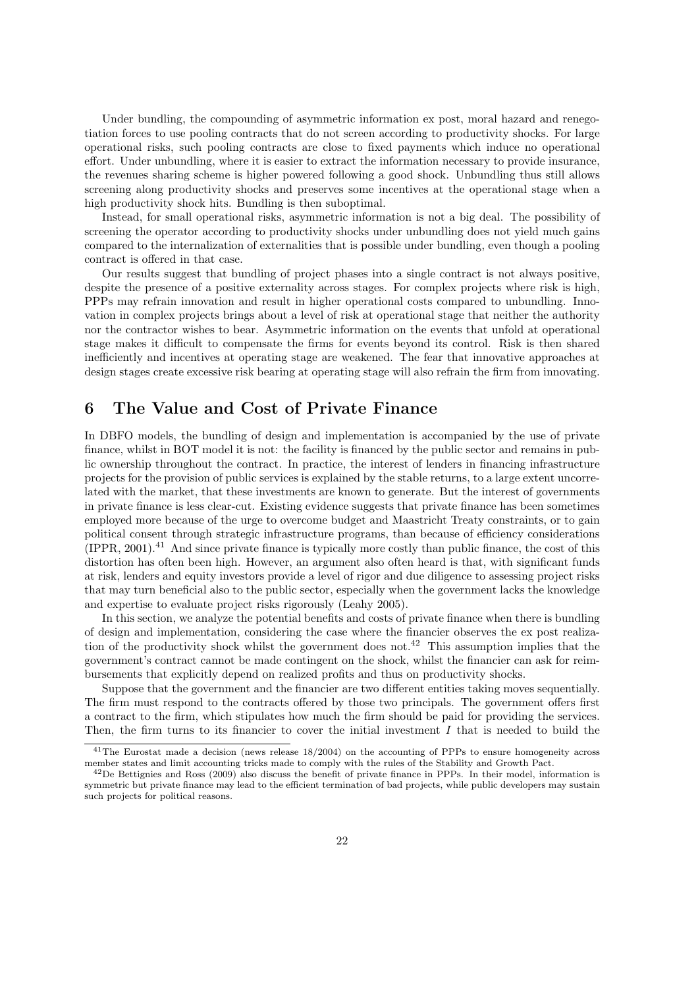Under bundling, the compounding of asymmetric information ex post, moral hazard and renegotiation forces to use pooling contracts that do not screen according to productivity shocks. For large operational risks, such pooling contracts are close to fixed payments which induce no operational effort. Under unbundling, where it is easier to extract the information necessary to provide insurance, the revenues sharing scheme is higher powered following a good shock. Unbundling thus still allows screening along productivity shocks and preserves some incentives at the operational stage when a high productivity shock hits. Bundling is then suboptimal.

Instead, for small operational risks, asymmetric information is not a big deal. The possibility of screening the operator according to productivity shocks under unbundling does not yield much gains compared to the internalization of externalities that is possible under bundling, even though a pooling contract is offered in that case.

Our results suggest that bundling of project phases into a single contract is not always positive, despite the presence of a positive externality across stages. For complex projects where risk is high, PPPs may refrain innovation and result in higher operational costs compared to unbundling. Innovation in complex projects brings about a level of risk at operational stage that neither the authority nor the contractor wishes to bear. Asymmetric information on the events that unfold at operational stage makes it difficult to compensate the firms for events beyond its control. Risk is then shared inefficiently and incentives at operating stage are weakened. The fear that innovative approaches at design stages create excessive risk bearing at operating stage will also refrain the firm from innovating.

## 6 The Value and Cost of Private Finance

In DBFO models, the bundling of design and implementation is accompanied by the use of private finance, whilst in BOT model it is not: the facility is financed by the public sector and remains in public ownership throughout the contract. In practice, the interest of lenders in financing infrastructure projects for the provision of public services is explained by the stable returns, to a large extent uncorrelated with the market, that these investments are known to generate. But the interest of governments in private finance is less clear-cut. Existing evidence suggests that private finance has been sometimes employed more because of the urge to overcome budget and Maastricht Treaty constraints, or to gain political consent through strategic infrastructure programs, than because of efficiency considerations  $(IPPR, 2001).<sup>41</sup>$  And since private finance is typically more costly than public finance, the cost of this distortion has often been high. However, an argument also often heard is that, with significant funds at risk, lenders and equity investors provide a level of rigor and due diligence to assessing project risks that may turn beneficial also to the public sector, especially when the government lacks the knowledge and expertise to evaluate project risks rigorously (Leahy 2005).

In this section, we analyze the potential benefits and costs of private finance when there is bundling of design and implementation, considering the case where the financier observes the ex post realization of the productivity shock whilst the government does not.<sup>42</sup> This assumption implies that the government's contract cannot be made contingent on the shock, whilst the financier can ask for reimbursements that explicitly depend on realized profits and thus on productivity shocks.

Suppose that the government and the financier are two different entities taking moves sequentially. The firm must respond to the contracts offered by those two principals. The government offers first a contract to the firm, which stipulates how much the firm should be paid for providing the services. Then, the firm turns to its financier to cover the initial investment  $I$  that is needed to build the

<sup>41</sup>The Eurostat made a decision (news release 18/2004) on the accounting of PPPs to ensure homogeneity across member states and limit accounting tricks made to comply with the rules of the Stability and Growth Pact.

 $^{42}$ De Bettignies and Ross (2009) also discuss the benefit of private finance in PPPs. In their model, information is symmetric but private finance may lead to the efficient termination of bad projects, while public developers may sustain such projects for political reasons.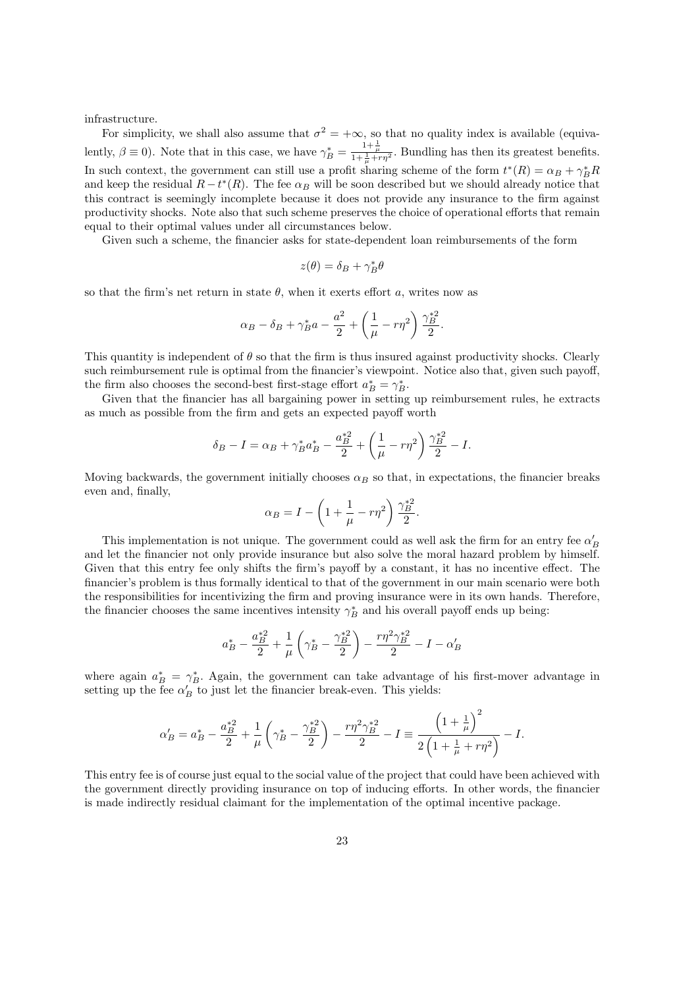infrastructure.

For simplicity, we shall also assume that  $\sigma^2 = +\infty$ , so that no quality index is available (equivalently,  $\beta \equiv 0$ ). Note that in this case, we have  $\gamma_B^* = \frac{1 + \frac{1}{\mu}}{1 + \frac{1}{\mu} + r\eta^2}$ . Bundling has then its greatest benefits. In such context, the government can still use a profit sharing scheme of the form  $t^*(R) = \alpha_B + \gamma_B^* R$ and keep the residual  $R - t^*(R)$ . The fee  $\alpha_B$  will be soon described but we should already notice that this contract is seemingly incomplete because it does not provide any insurance to the firm against productivity shocks. Note also that such scheme preserves the choice of operational efforts that remain equal to their optimal values under all circumstances below.

Given such a scheme, the financier asks for state-dependent loan reimbursements of the form

$$
z(\theta) = \delta_B + \gamma_B^* \theta
$$

so that the firm's net return in state  $\theta$ , when it exerts effort a, writes now as

$$
\alpha_B - \delta_B + \gamma_B^* a - \frac{a^2}{2} + \left(\frac{1}{\mu} - r\eta^2\right) \frac{\gamma_B^{*2}}{2}.
$$

This quantity is independent of  $\theta$  so that the firm is thus insured against productivity shocks. Clearly such reimbursement rule is optimal from the financier's viewpoint. Notice also that, given such payoff, the firm also chooses the second-best first-stage effort  $a_B^* = \gamma_B^*$ .

Given that the financier has all bargaining power in setting up reimbursement rules, he extracts as much as possible from the firm and gets an expected payoff worth

$$
\delta_B - I = \alpha_B + \gamma_B^* a_B^* - \frac{a_B^{*2}}{2} + \left(\frac{1}{\mu} - r\eta^2\right) \frac{\gamma_B^{*2}}{2} - I.
$$

Moving backwards, the government initially chooses  $\alpha_B$  so that, in expectations, the financier breaks even and, finally,  $\overline{a}$  $\mathbf{r}$ 

$$
\alpha_B = I - \left(1 + \frac{1}{\mu} - r\eta^2\right)\frac{\gamma_B^{*2}}{2}.
$$

This implementation is not unique. The government could as well ask the firm for an entry fee  $\alpha'_B$ and let the financier not only provide insurance but also solve the moral hazard problem by himself. Given that this entry fee only shifts the firm's payoff by a constant, it has no incentive effect. The financier's problem is thus formally identical to that of the government in our main scenario were both the responsibilities for incentivizing the firm and proving insurance were in its own hands. Therefore, the financier chooses the same incentives intensity  $\gamma_B^*$  and his overall payoff ends up being:

$$
a_B^* - \frac{a_B^{*2}}{2} + \frac{1}{\mu} \left( \gamma_B^* - \frac{\gamma_B^{*2}}{2} \right) - \frac{r \eta^2 \gamma_B^{*2}}{2} - I - \alpha_B'
$$

where again  $a_B^* = \gamma_B^*$ . Again, the government can take advantage of his first-mover advantage in setting up the fee  $\alpha'_B$  to just let the financier break-even. This yields:

$$
\alpha'_B = a_B^* - \frac{a_B^{*2}}{2} + \frac{1}{\mu} \left( \gamma_B^* - \frac{\gamma_B^{*2}}{2} \right) - \frac{r \eta^2 \gamma_B^{*2}}{2} - I \equiv \frac{\left( 1 + \frac{1}{\mu} \right)^2}{2 \left( 1 + \frac{1}{\mu} + r \eta^2 \right)} - I.
$$

This entry fee is of course just equal to the social value of the project that could have been achieved with the government directly providing insurance on top of inducing efforts. In other words, the financier is made indirectly residual claimant for the implementation of the optimal incentive package.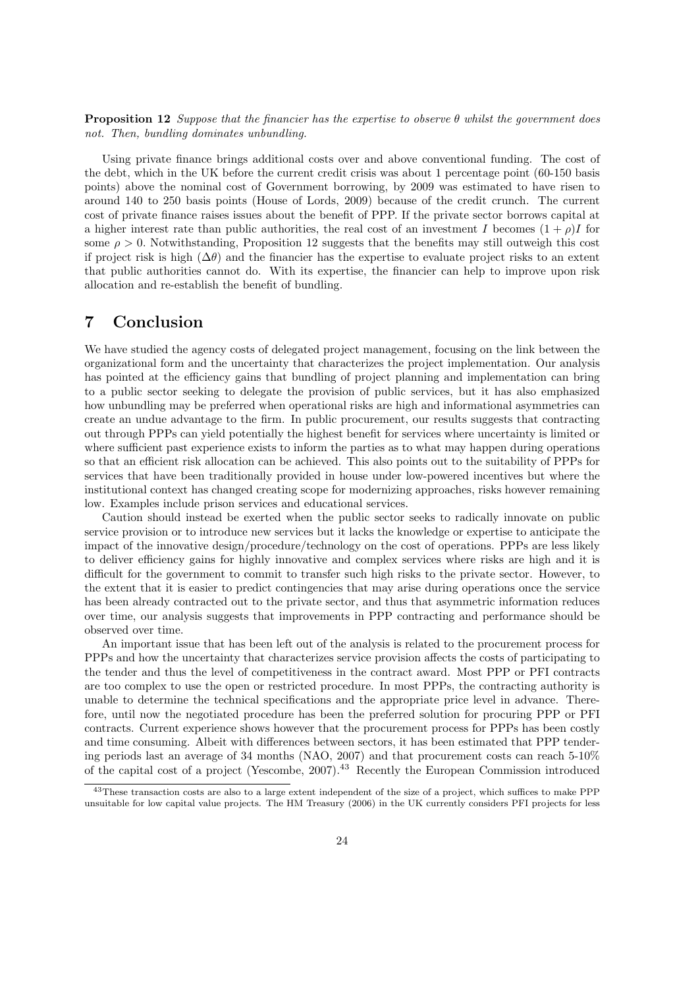**Proposition 12** Suppose that the financier has the expertise to observe  $\theta$  whilst the government does not. Then, bundling dominates unbundling.

Using private finance brings additional costs over and above conventional funding. The cost of the debt, which in the UK before the current credit crisis was about 1 percentage point (60-150 basis points) above the nominal cost of Government borrowing, by 2009 was estimated to have risen to around 140 to 250 basis points (House of Lords, 2009) because of the credit crunch. The current cost of private finance raises issues about the benefit of PPP. If the private sector borrows capital at a higher interest rate than public authorities, the real cost of an investment I becomes  $(1 + \rho)I$  for some  $\rho > 0$ . Notwithstanding, Proposition 12 suggests that the benefits may still outweigh this cost if project risk is high  $(\Delta \theta)$  and the financier has the expertise to evaluate project risks to an extent that public authorities cannot do. With its expertise, the financier can help to improve upon risk allocation and re-establish the benefit of bundling.

## 7 Conclusion

We have studied the agency costs of delegated project management, focusing on the link between the organizational form and the uncertainty that characterizes the project implementation. Our analysis has pointed at the efficiency gains that bundling of project planning and implementation can bring to a public sector seeking to delegate the provision of public services, but it has also emphasized how unbundling may be preferred when operational risks are high and informational asymmetries can create an undue advantage to the firm. In public procurement, our results suggests that contracting out through PPPs can yield potentially the highest benefit for services where uncertainty is limited or where sufficient past experience exists to inform the parties as to what may happen during operations so that an efficient risk allocation can be achieved. This also points out to the suitability of PPPs for services that have been traditionally provided in house under low-powered incentives but where the institutional context has changed creating scope for modernizing approaches, risks however remaining low. Examples include prison services and educational services.

Caution should instead be exerted when the public sector seeks to radically innovate on public service provision or to introduce new services but it lacks the knowledge or expertise to anticipate the impact of the innovative design/procedure/technology on the cost of operations. PPPs are less likely to deliver efficiency gains for highly innovative and complex services where risks are high and it is difficult for the government to commit to transfer such high risks to the private sector. However, to the extent that it is easier to predict contingencies that may arise during operations once the service has been already contracted out to the private sector, and thus that asymmetric information reduces over time, our analysis suggests that improvements in PPP contracting and performance should be observed over time.

An important issue that has been left out of the analysis is related to the procurement process for PPPs and how the uncertainty that characterizes service provision affects the costs of participating to the tender and thus the level of competitiveness in the contract award. Most PPP or PFI contracts are too complex to use the open or restricted procedure. In most PPPs, the contracting authority is unable to determine the technical specifications and the appropriate price level in advance. Therefore, until now the negotiated procedure has been the preferred solution for procuring PPP or PFI contracts. Current experience shows however that the procurement process for PPPs has been costly and time consuming. Albeit with differences between sectors, it has been estimated that PPP tendering periods last an average of 34 months (NAO, 2007) and that procurement costs can reach 5-10% of the capital cost of a project (Yescombe, 2007).<sup>43</sup> Recently the European Commission introduced

<sup>43</sup>These transaction costs are also to a large extent independent of the size of a project, which suffices to make PPP unsuitable for low capital value projects. The HM Treasury (2006) in the UK currently considers PFI projects for less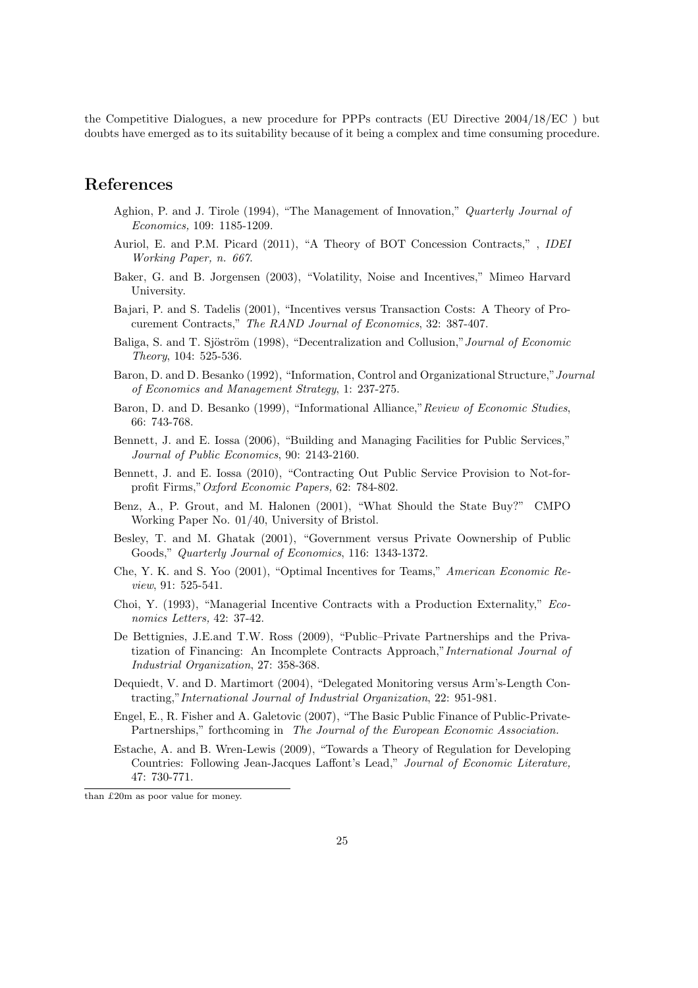the Competitive Dialogues, a new procedure for PPPs contracts (EU Directive 2004/18/EC ) but doubts have emerged as to its suitability because of it being a complex and time consuming procedure.

## References

- Aghion, P. and J. Tirole (1994), "The Management of Innovation," Quarterly Journal of Economics, 109: 1185-1209.
- Auriol, E. and P.M. Picard (2011), "A Theory of BOT Concession Contracts," , IDEI Working Paper, n. 667.
- Baker, G. and B. Jorgensen (2003), "Volatility, Noise and Incentives," Mimeo Harvard University.
- Bajari, P. and S. Tadelis (2001), "Incentives versus Transaction Costs: A Theory of Procurement Contracts," The RAND Journal of Economics, 32: 387-407.
- Baliga, S. and T. Sjöström (1998), "Decentralization and Collusion," Journal of Economic Theory, 104: 525-536.
- Baron, D. and D. Besanko (1992), "Information, Control and Organizational Structure,"Journal of Economics and Management Strategy, 1: 237-275.
- Baron, D. and D. Besanko (1999), "Informational Alliance,"Review of Economic Studies, 66: 743-768.
- Bennett, J. and E. Iossa (2006), "Building and Managing Facilities for Public Services," Journal of Public Economics, 90: 2143-2160.
- Bennett, J. and E. Iossa (2010), "Contracting Out Public Service Provision to Not-forprofit Firms,"Oxford Economic Papers, 62: 784-802.
- Benz, A., P. Grout, and M. Halonen (2001), "What Should the State Buy?" CMPO Working Paper No. 01/40, University of Bristol.
- Besley, T. and M. Ghatak (2001), "Government versus Private Oownership of Public Goods," Quarterly Journal of Economics, 116: 1343-1372.
- Che, Y. K. and S. Yoo (2001), "Optimal Incentives for Teams," American Economic Review, 91: 525-541.
- Choi, Y. (1993), "Managerial Incentive Contracts with a Production Externality," Economics Letters, 42: 37-42.
- De Bettignies, J.E.and T.W. Ross (2009), "Public–Private Partnerships and the Privatization of Financing: An Incomplete Contracts Approach,"International Journal of Industrial Organization, 27: 358-368.
- Dequiedt, V. and D. Martimort (2004), "Delegated Monitoring versus Arm's-Length Contracting,"International Journal of Industrial Organization, 22: 951-981.
- Engel, E., R. Fisher and A. Galetovic (2007), "The Basic Public Finance of Public-Private-Partnerships," forthcoming in The Journal of the European Economic Association.
- Estache, A. and B. Wren-Lewis (2009), "Towards a Theory of Regulation for Developing Countries: Following Jean-Jacques Laffont's Lead," Journal of Economic Literature, 47: 730-771.

than £20m as poor value for money.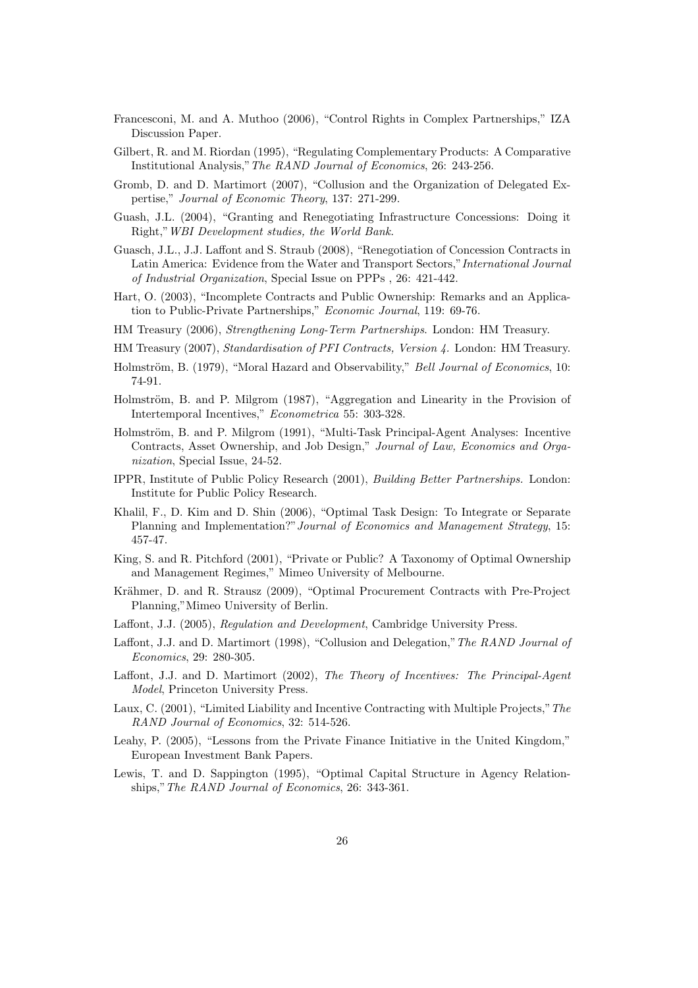- Francesconi, M. and A. Muthoo (2006), "Control Rights in Complex Partnerships," IZA Discussion Paper.
- Gilbert, R. and M. Riordan (1995), "Regulating Complementary Products: A Comparative Institutional Analysis,"The RAND Journal of Economics, 26: 243-256.
- Gromb, D. and D. Martimort (2007), "Collusion and the Organization of Delegated Expertise," Journal of Economic Theory, 137: 271-299.
- Guash, J.L. (2004), "Granting and Renegotiating Infrastructure Concessions: Doing it Right,"WBI Development studies, the World Bank.
- Guasch, J.L., J.J. Laffont and S. Straub (2008), "Renegotiation of Concession Contracts in Latin America: Evidence from the Water and Transport Sectors,"International Journal of Industrial Organization, Special Issue on PPPs , 26: 421-442.
- Hart, O. (2003), "Incomplete Contracts and Public Ownership: Remarks and an Application to Public-Private Partnerships," Economic Journal, 119: 69-76.
- HM Treasury (2006), Strengthening Long-Term Partnerships. London: HM Treasury.
- HM Treasury (2007), Standardisation of PFI Contracts, Version 4. London: HM Treasury.
- Holmström, B. (1979), "Moral Hazard and Observability," Bell Journal of Economics, 10: 74-91.
- Holmström, B. and P. Milgrom (1987), "Aggregation and Linearity in the Provision of Intertemporal Incentives," Econometrica 55: 303-328.
- Holmström, B. and P. Milgrom (1991), "Multi-Task Principal-Agent Analyses: Incentive Contracts, Asset Ownership, and Job Design," Journal of Law, Economics and Organization, Special Issue, 24-52.
- IPPR, Institute of Public Policy Research (2001), Building Better Partnerships. London: Institute for Public Policy Research.
- Khalil, F., D. Kim and D. Shin (2006), "Optimal Task Design: To Integrate or Separate Planning and Implementation?"Journal of Economics and Management Strategy, 15: 457-47.
- King, S. and R. Pitchford (2001), "Private or Public? A Taxonomy of Optimal Ownership and Management Regimes," Mimeo University of Melbourne.
- Krähmer, D. and R. Strausz (2009), "Optimal Procurement Contracts with Pre-Project Planning,"Mimeo University of Berlin.
- Laffont, J.J. (2005), Regulation and Development, Cambridge University Press.
- Laffont, J.J. and D. Martimort (1998), "Collusion and Delegation,"The RAND Journal of Economics, 29: 280-305.
- Laffont, J.J. and D. Martimort (2002), The Theory of Incentives: The Principal-Agent Model, Princeton University Press.
- Laux, C. (2001), "Limited Liability and Incentive Contracting with Multiple Projects,"The RAND Journal of Economics, 32: 514-526.
- Leahy, P. (2005), "Lessons from the Private Finance Initiative in the United Kingdom," European Investment Bank Papers.
- Lewis, T. and D. Sappington (1995), "Optimal Capital Structure in Agency Relationships,"The RAND Journal of Economics, 26: 343-361.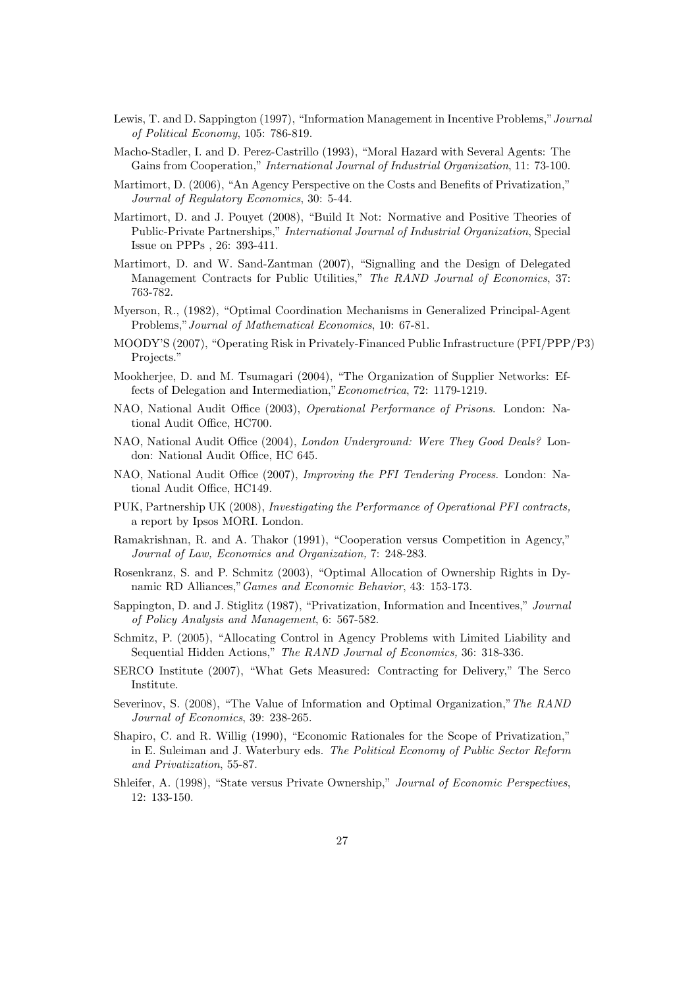- Lewis, T. and D. Sappington (1997), "Information Management in Incentive Problems,"Journal of Political Economy, 105: 786-819.
- Macho-Stadler, I. and D. Perez-Castrillo (1993), "Moral Hazard with Several Agents: The Gains from Cooperation," International Journal of Industrial Organization, 11: 73-100.
- Martimort, D. (2006), "An Agency Perspective on the Costs and Benefits of Privatization," Journal of Regulatory Economics, 30: 5-44.
- Martimort, D. and J. Pouyet (2008), "Build It Not: Normative and Positive Theories of Public-Private Partnerships," International Journal of Industrial Organization, Special Issue on PPPs , 26: 393-411.
- Martimort, D. and W. Sand-Zantman (2007), "Signalling and the Design of Delegated Management Contracts for Public Utilities," The RAND Journal of Economics, 37: 763-782.
- Myerson, R., (1982), "Optimal Coordination Mechanisms in Generalized Principal-Agent Problems,"Journal of Mathematical Economics, 10: 67-81.
- MOODY'S (2007), "Operating Risk in Privately-Financed Public Infrastructure (PFI/PPP/P3) Projects."
- Mookherjee, D. and M. Tsumagari (2004), "The Organization of Supplier Networks: Effects of Delegation and Intermediation,"Econometrica, 72: 1179-1219.
- NAO, National Audit Office (2003), Operational Performance of Prisons. London: National Audit Office, HC700.
- NAO, National Audit Office (2004), London Underground: Were They Good Deals? London: National Audit Office, HC 645.
- NAO, National Audit Office (2007), Improving the PFI Tendering Process. London: National Audit Office, HC149.
- PUK, Partnership UK (2008), Investigating the Performance of Operational PFI contracts, a report by Ipsos MORI. London.
- Ramakrishnan, R. and A. Thakor (1991), "Cooperation versus Competition in Agency," Journal of Law, Economics and Organization, 7: 248-283.
- Rosenkranz, S. and P. Schmitz (2003), "Optimal Allocation of Ownership Rights in Dynamic RD Alliances,"Games and Economic Behavior, 43: 153-173.
- Sappington, D. and J. Stiglitz (1987), "Privatization, Information and Incentives," Journal of Policy Analysis and Management, 6: 567-582.
- Schmitz, P. (2005), "Allocating Control in Agency Problems with Limited Liability and Sequential Hidden Actions," The RAND Journal of Economics, 36: 318-336.
- SERCO Institute (2007), "What Gets Measured: Contracting for Delivery," The Serco Institute.
- Severinov, S. (2008), "The Value of Information and Optimal Organization,"The RAND Journal of Economics, 39: 238-265.
- Shapiro, C. and R. Willig (1990), "Economic Rationales for the Scope of Privatization," in E. Suleiman and J. Waterbury eds. The Political Economy of Public Sector Reform and Privatization, 55-87.
- Shleifer, A. (1998), "State versus Private Ownership," Journal of Economic Perspectives, 12: 133-150.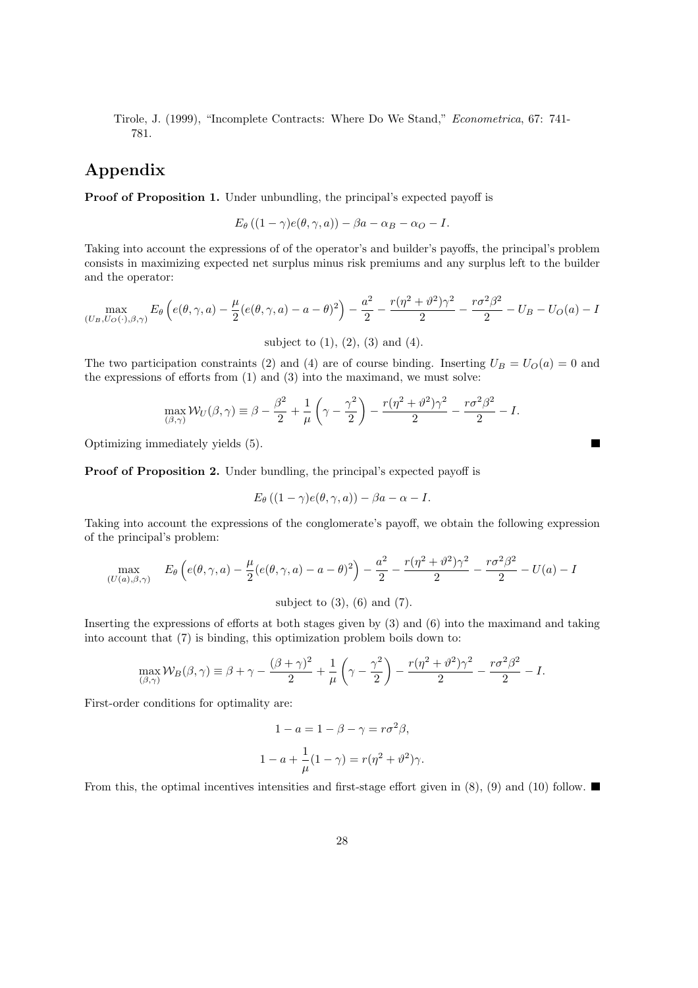Tirole, J. (1999), "Incomplete Contracts: Where Do We Stand," Econometrica, 67: 741- 781.

## Appendix

Proof of Proposition 1. Under unbundling, the principal's expected payoff is

$$
E_{\theta} ((1 - \gamma)e(\theta, \gamma, a)) - \beta a - \alpha B - \alpha_{\mathcal{O}} - I.
$$

Taking into account the expressions of of the operator's and builder's payoffs, the principal's problem consists in maximizing expected net surplus minus risk premiums and any surplus left to the builder and the operator:

$$
\max_{(U_B, U_O(\cdot), \beta, \gamma)} E_{\theta} \left( e(\theta, \gamma, a) - \frac{\mu}{2} (e(\theta, \gamma, a) - a - \theta)^2 \right) - \frac{a^2}{2} - \frac{r(\eta^2 + \vartheta^2)\gamma^2}{2} - \frac{r\sigma^2\beta^2}{2} - U_B - U_O(a) - I
$$

subject to  $(1)$ ,  $(2)$ ,  $(3)$  and  $(4)$ .

The two participation constraints (2) and (4) are of course binding. Inserting  $U_B = U_O(a) = 0$  and the expressions of efforts from (1) and (3) into the maximand, we must solve:

$$
\max_{(\beta,\gamma)} \mathcal{W}_U(\beta,\gamma) \equiv \beta - \frac{\beta^2}{2} + \frac{1}{\mu} \left(\gamma - \frac{\gamma^2}{2}\right) - \frac{r(\eta^2 + \vartheta^2)\gamma^2}{2} - \frac{r\sigma^2\beta^2}{2} - I.
$$

 $\blacksquare$ 

Optimizing immediately yields (5).

Proof of Proposition 2. Under bundling, the principal's expected payoff is

$$
E_{\theta}\left((1-\gamma)e(\theta,\gamma,a)\right)-\beta a-\alpha-I.
$$

Taking into account the expressions of the conglomerate's payoff, we obtain the following expression of the principal's problem:

$$
\max_{(U(a),\beta,\gamma)} E_{\theta}\left(e(\theta,\gamma,a) - \frac{\mu}{2}(e(\theta,\gamma,a) - a - \theta)^2\right) - \frac{a^2}{2} - \frac{r(\eta^2 + \vartheta^2)\gamma^2}{2} - \frac{r\sigma^2\beta^2}{2} - U(a) - I
$$
\n
$$
\text{subject to (3), (6) and (7).}
$$

Inserting the expressions of efforts at both stages given by (3) and (6) into the maximand and taking into account that (7) is binding, this optimization problem boils down to:

$$
\max_{(\beta,\gamma)} \mathcal{W}_B(\beta,\gamma) \equiv \beta + \gamma - \frac{(\beta + \gamma)^2}{2} + \frac{1}{\mu} \left(\gamma - \frac{\gamma^2}{2}\right) - \frac{r(\eta^2 + \vartheta^2)\gamma^2}{2} - \frac{r\sigma^2\beta^2}{2} - I.
$$

First-order conditions for optimality are:

$$
1 - a = 1 - \beta - \gamma = r\sigma^2 \beta,
$$
  

$$
1 - a + \frac{1}{\mu}(1 - \gamma) = r(\eta^2 + \vartheta^2)\gamma.
$$

From this, the optimal incentives intensities and first-stage effort given in (8), (9) and (10) follow.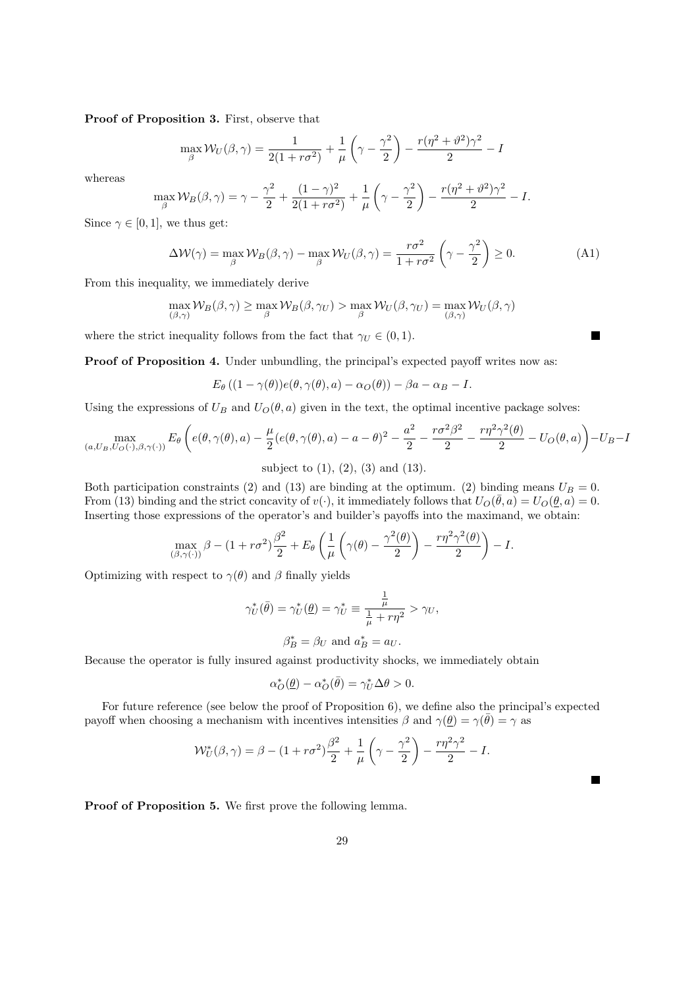Proof of Proposition 3. First, observe that

$$
\max_{\beta} W_U(\beta, \gamma) = \frac{1}{2(1 + r\sigma^2)} + \frac{1}{\mu} \left(\gamma - \frac{\gamma^2}{2}\right) - \frac{r(\eta^2 + \vartheta^2)\gamma^2}{2} - I
$$

whereas

$$
\max_{\beta} \mathcal{W}_{B}(\beta, \gamma) = \gamma - \frac{\gamma^2}{2} + \frac{(1-\gamma)^2}{2(1+r\sigma^2)} + \frac{1}{\mu} \left(\gamma - \frac{\gamma^2}{2}\right) - \frac{r(\eta^2 + \vartheta^2)\gamma^2}{2} - I.
$$

Since  $\gamma \in [0, 1]$ , we thus get:

$$
\Delta W(\gamma) = \max_{\beta} W_B(\beta, \gamma) - \max_{\beta} W_U(\beta, \gamma) = \frac{r\sigma^2}{1 + r\sigma^2} \left(\gamma - \frac{\gamma^2}{2}\right) \ge 0.
$$
 (A1)

From this inequality, we immediately derive

$$
\max_{(\beta,\gamma)} \mathcal{W}_B(\beta,\gamma) \ge \max_{\beta} \mathcal{W}_B(\beta,\gamma_U) > \max_{\beta} \mathcal{W}_U(\beta,\gamma_U) = \max_{(\beta,\gamma)} \mathcal{W}_U(\beta,\gamma)
$$

where the strict inequality follows from the fact that  $\gamma_U \in (0,1)$ .

Proof of Proposition 4. Under unbundling, the principal's expected payoff writes now as:

 $E_{\theta} ((1 - \gamma(\theta))e(\theta, \gamma(\theta), a) - \alpha_O(\theta)) - \beta a - \alpha_B - I.$ 

Using the expressions of  $U_B$  and  $U_O(\theta, a)$  given in the text, the optimal incentive package solves:

$$
\max_{(a,U_B,U_O(\cdot),\beta,\gamma(\cdot))} E_{\theta}\left(e(\theta,\gamma(\theta),a) - \frac{\mu}{2}(e(\theta,\gamma(\theta),a) - a - \theta)^2 - \frac{a^2}{2} - \frac{r\sigma^2\beta^2}{2} - \frac{r\eta^2\gamma^2(\theta)}{2} - U_O(\theta,a)\right) - U_B - I
$$
\nsubject to (1), (2), (3) and (13).

Both participation constraints (2) and (13) are binding at the optimum. (2) binding means  $U_B = 0$ . From (13) binding and the strict concavity of  $v(\cdot)$ , it immediately follows that  $U_O(\bar{\theta}, a) = U_O(\underline{\theta}, a) = 0$ . Inserting those expressions of the operator's and builder's payoffs into the maximand, we obtain:

$$
\max_{(\beta,\gamma(\cdot))} \beta - (1 + r\sigma^2) \frac{\beta^2}{2} + E_{\theta} \left( \frac{1}{\mu} \left( \gamma(\theta) - \frac{\gamma^2(\theta)}{2} \right) - \frac{r\eta^2 \gamma^2(\theta)}{2} \right) - I.
$$

Optimizing with respect to  $\gamma(\theta)$  and  $\beta$  finally yields

$$
\gamma_U^*(\bar{\theta}) = \gamma_U^*(\underline{\theta}) = \gamma_U^* \equiv \frac{\frac{1}{\mu}}{\frac{1}{\mu} + r\eta^2} > \gamma_U,
$$

$$
\beta_B^*=\beta_U \text{ and } a_B^*=a_U.
$$

Because the operator is fully insured against productivity shocks, we immediately obtain

$$
\alpha_O^*(\underline{\theta}) - \alpha_O^*(\bar{\theta}) = \gamma_U^* \Delta \theta > 0.
$$

For future reference (see below the proof of Proposition 6), we define also the principal's expected payoff when choosing a mechanism with incentives intensities  $\beta$  and  $\gamma(\underline{\theta}) = \gamma(\overline{\theta}) = \gamma$  as

$$
\mathcal{W}_U^*(\beta, \gamma) = \beta - (1 + r\sigma^2)\frac{\beta^2}{2} + \frac{1}{\mu} \left(\gamma - \frac{\gamma^2}{2}\right) - \frac{r\eta^2\gamma^2}{2} - I.
$$

Proof of Proposition 5. We first prove the following lemma.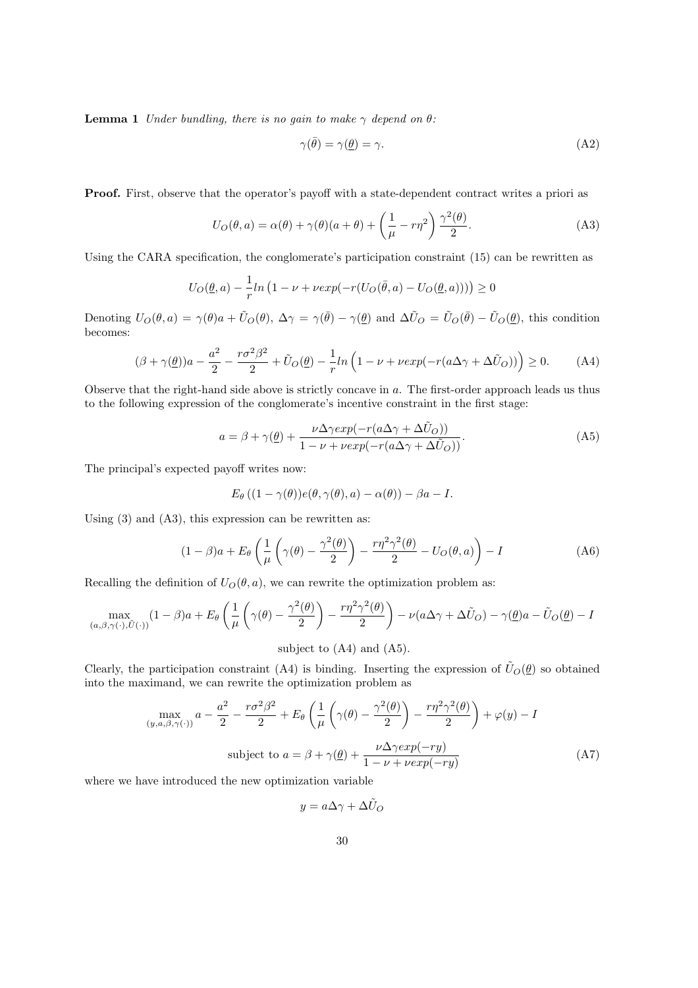**Lemma 1** Under bundling, there is no gain to make  $\gamma$  depend on  $\theta$ :

$$
\gamma(\bar{\theta}) = \gamma(\underline{\theta}) = \gamma. \tag{A2}
$$

Proof. First, observe that the operator's payoff with a state-dependent contract writes a priori as

$$
U_O(\theta, a) = \alpha(\theta) + \gamma(\theta)(a + \theta) + \left(\frac{1}{\mu} - r\eta^2\right)\frac{\gamma^2(\theta)}{2}.
$$
 (A3)

Using the CARA specification, the conglomerate's participation constraint (15) can be rewritten as

$$
U_O(\underline{\theta},a) - \frac{1}{r}ln(1-\nu + \nu exp(-r(U_O(\bar{\theta},a) - U_O(\underline{\theta},a)) )) \geq 0
$$

Denoting  $U_O(\theta, a) = \gamma(\theta)a + \tilde{U}_O(\theta), \ \Delta \gamma = \gamma(\bar{\theta}) - \gamma(\underline{\theta})$  and  $\Delta \tilde{U}_O = \tilde{U}_O(\bar{\theta}) - \tilde{U}_O(\underline{\theta}),$  this condition becomes:

$$
(\beta + \gamma(\underline{\theta}))a - \frac{a^2}{2} - \frac{r\sigma^2\beta^2}{2} + \tilde{U}_O(\underline{\theta}) - \frac{1}{r}ln\left(1 - \nu + \nu exp(-r(a\Delta\gamma + \Delta\tilde{U}_O))\right) \ge 0.
$$
 (A4)

Observe that the right-hand side above is strictly concave in a. The first-order approach leads us thus to the following expression of the conglomerate's incentive constraint in the first stage:

$$
a = \beta + \gamma(\underline{\theta}) + \frac{\nu \Delta \gamma exp(-r(a\Delta \gamma + \Delta \tilde{U}_O))}{1 - \nu + \nu exp(-r(a\Delta \gamma + \Delta \tilde{U}_O))}.
$$
 (A5)

The principal's expected payoff writes now:

$$
E_{\theta} ((1 - \gamma(\theta))e(\theta, \gamma(\theta), a) - \alpha(\theta)) - \beta a - I.
$$

Using (3) and (A3), this expression can be rewritten as:

$$
(1 - \beta)a + E_{\theta} \left( \frac{1}{\mu} \left( \gamma(\theta) - \frac{\gamma^2(\theta)}{2} \right) - \frac{r\eta^2 \gamma^2(\theta)}{2} - U_O(\theta, a) \right) - I
$$
 (A6)

Recalling the definition of  $U_O(\theta, a)$ , we can rewrite the optimization problem as:

$$
\max_{(a,\beta,\gamma(\cdot),\tilde{U}(\cdot))} (1-\beta)a + E_{\theta} \left( \frac{1}{\mu} \left( \gamma(\theta) - \frac{\gamma^2(\theta)}{2} \right) - \frac{r\eta^2 \gamma^2(\theta)}{2} \right) - \nu(a\Delta\gamma + \Delta\tilde{U}_O) - \gamma(\underline{\theta})a - \tilde{U}_O(\underline{\theta}) - I
$$
\nsubject to (A4) and (A5).

Clearly, the participation constraint (A4) is binding. Inserting the expression of  $\tilde{U}_O(\underline{\theta})$  so obtained into the maximand, we can rewrite the optimization problem as

$$
\max_{(y,a,\beta,\gamma(\cdot))} a - \frac{a^2}{2} - \frac{r\sigma^2\beta^2}{2} + E_{\theta}\left(\frac{1}{\mu}\left(\gamma(\theta) - \frac{\gamma^2(\theta)}{2}\right) - \frac{r\eta^2\gamma^2(\theta)}{2}\right) + \varphi(y) - I
$$
\n
$$
\text{subject to } a = \beta + \gamma(\underline{\theta}) + \frac{\nu\Delta\gamma\exp(-ry)}{1 - \nu + \nu\exp(-ry)}\tag{A7}
$$

where we have introduced the new optimization variable

$$
y = a\Delta\gamma + \Delta \tilde{U}_O
$$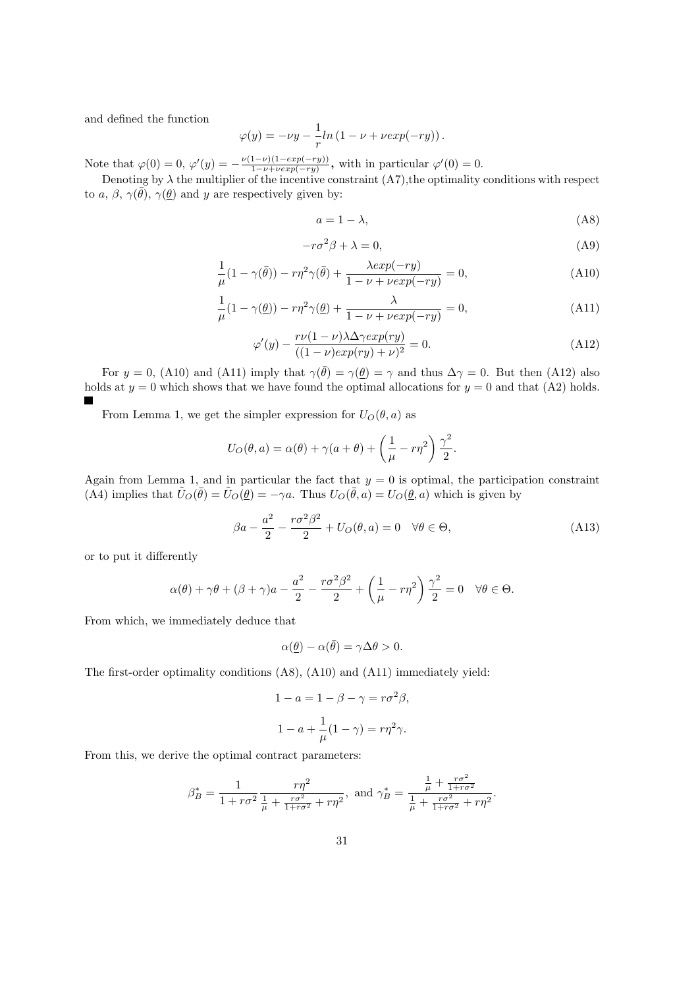and defined the function

$$
\varphi(y) = -\nu y - \frac{1}{r} \ln(1 - \nu + \nu \exp(-ry)).
$$

Note that  $\varphi(0) = 0$ ,  $\varphi'(y) = -\frac{\nu(1-\nu)(1-exp(-ry))}{1-\nu+ \nu exp(-ry)}$  $\frac{1-\nu(1-exp(-ry))}{1-\nu+vexp(-ry)},$  with in particular  $\varphi'(0)=0.$ 

Denoting by  $\lambda$  the multiplier of the incentive constraint  $(A7)$ , the optimality conditions with respect to a,  $\beta$ ,  $\gamma(\bar{\theta})$ ,  $\gamma(\theta)$  and y are respectively given by:

$$
a = 1 - \lambda,\tag{A8}
$$

$$
-r\sigma^2 \beta + \lambda = 0,\tag{A9}
$$

$$
\frac{1}{\mu}(1-\gamma(\bar{\theta})) - r\eta^2\gamma(\bar{\theta}) + \frac{\lambda exp(-ry)}{1-\nu+\nu exp(-ry)} = 0,
$$
\n(A10)

$$
\frac{1}{\mu}(1-\gamma(\underline{\theta})) - r\eta^2\gamma(\underline{\theta}) + \frac{\lambda}{1-\nu+\nu exp(-ry)} = 0,
$$
\n(A11)

$$
\varphi'(y) - \frac{r\nu(1-\nu)\lambda \Delta \gamma exp(ry)}{((1-\nu)exp(ry) + \nu)^2} = 0.
$$
\n(A12)

For  $y = 0$ , (A10) and (A11) imply that  $\gamma(\bar{\theta}) = \gamma(\theta) = \gamma$  and thus  $\Delta \gamma = 0$ . But then (A12) also holds at  $y = 0$  which shows that we have found the optimal allocations for  $y = 0$  and that (A2) holds.

From Lemma 1, we get the simpler expression for  $U_O(\theta, a)$  as

$$
U_O(\theta, a) = \alpha(\theta) + \gamma(a + \theta) + \left(\frac{1}{\mu} - r\eta^2\right)\frac{\gamma^2}{2}.
$$

Again from Lemma 1, and in particular the fact that  $y = 0$  is optimal, the participation constraint (A4) implies that  $\tilde{U}_O(\bar{\theta}) = \tilde{U}_O(\underline{\theta}) = -\gamma a$ . Thus  $U_O(\bar{\theta}, a) = U_O(\underline{\theta}, a)$  which is given by

$$
\beta a - \frac{a^2}{2} - \frac{r\sigma^2 \beta^2}{2} + U_O(\theta, a) = 0 \quad \forall \theta \in \Theta,
$$
\n(A13)

or to put it differently

$$
\alpha(\theta) + \gamma \theta + (\beta + \gamma)a - \frac{a^2}{2} - \frac{r\sigma^2 \beta^2}{2} + \left(\frac{1}{\mu} - r\eta^2\right)\frac{\gamma^2}{2} = 0 \quad \forall \theta \in \Theta.
$$

From which, we immediately deduce that

$$
\alpha(\underline{\theta}) - \alpha(\overline{\theta}) = \gamma \Delta \theta > 0.
$$

The first-order optimality conditions (A8), (A10) and (A11) immediately yield:

$$
1 - a = 1 - \beta - \gamma = r\sigma^2 \beta,
$$
  

$$
1 - a + \frac{1}{\mu}(1 - \gamma) = r\eta^2 \gamma.
$$

From this, we derive the optimal contract parameters:

$$
\beta_B^* = \frac{1}{1 + r\sigma^2} \frac{r\eta^2}{\frac{1}{\mu} + \frac{r\sigma^2}{1 + r\sigma^2} + r\eta^2}, \text{ and } \gamma_B^* = \frac{\frac{1}{\mu} + \frac{r\sigma^2}{1 + r\sigma^2}}{\frac{1}{\mu} + \frac{r\sigma^2}{1 + r\sigma^2} + r\eta^2}.
$$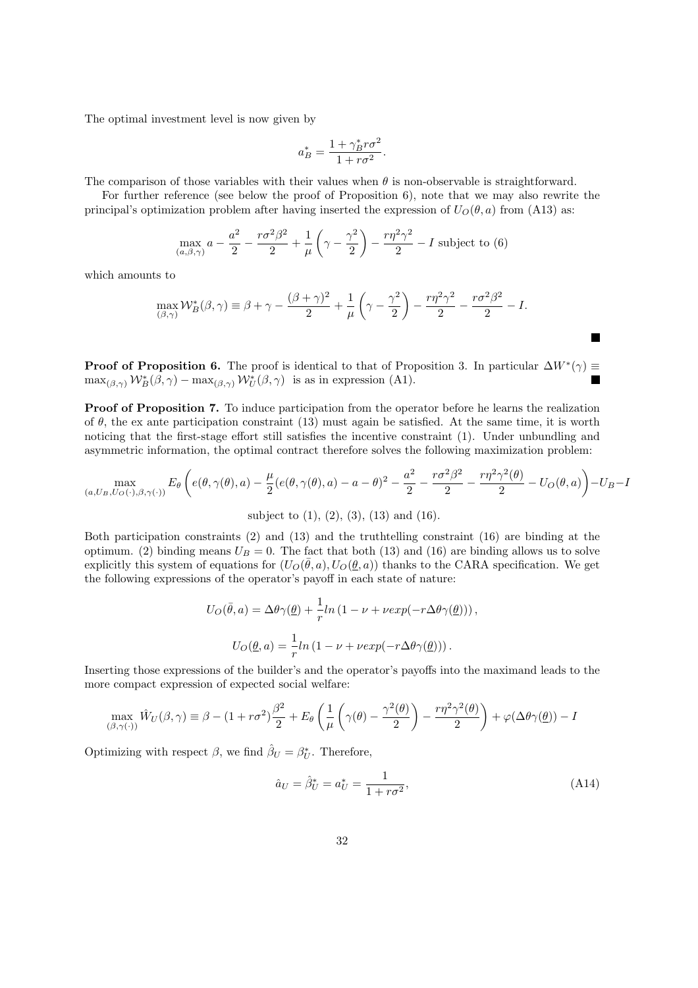The optimal investment level is now given by

$$
a_B^* = \frac{1 + \gamma_B^* r \sigma^2}{1 + r \sigma^2}.
$$

The comparison of those variables with their values when  $\theta$  is non-observable is straightforward.

For further reference (see below the proof of Proposition 6), note that we may also rewrite the principal's optimization problem after having inserted the expression of  $U_O(\theta, a)$  from (A13) as:

$$
\max_{(a,\beta,\gamma)} a - \frac{a^2}{2} - \frac{r\sigma^2\beta^2}{2} + \frac{1}{\mu} \left(\gamma - \frac{\gamma^2}{2}\right) - \frac{r\eta^2\gamma^2}{2} - I
$$
 subject to (6)

which amounts to

$$
\max_{(\beta,\gamma)} \mathcal{W}_B^*(\beta,\gamma) \equiv \beta + \gamma - \frac{(\beta + \gamma)^2}{2} + \frac{1}{\mu} \left(\gamma - \frac{\gamma^2}{2}\right) - \frac{r\eta^2\gamma^2}{2} - \frac{r\sigma^2\beta^2}{2} - I.
$$

**Proof of Proposition 6.** The proof is identical to that of Proposition 3. In particular  $\Delta W^*(\gamma) \equiv$  $\max_{(\beta,\gamma)} \mathcal{W}_{B}^{*}(\beta,\gamma) - \max_{(\beta,\gamma)} \mathcal{W}_{U}^{*}(\beta,\gamma)$  is as in expression (A1).  $\overline{\phantom{a}}$ 

Proof of Proposition 7. To induce participation from the operator before he learns the realization of  $\theta$ , the ex ante participation constraint (13) must again be satisfied. At the same time, it is worth noticing that the first-stage effort still satisfies the incentive constraint (1). Under unbundling and asymmetric information, the optimal contract therefore solves the following maximization problem:

$$
\max_{(a,U_B,U_O(\cdot),\beta,\gamma(\cdot))} E_{\theta}\left(e(\theta,\gamma(\theta),a) - \frac{\mu}{2}(e(\theta,\gamma(\theta),a) - a - \theta)^2 - \frac{a^2}{2} - \frac{r\sigma^2\beta^2}{2} - \frac{r\eta^2\gamma^2(\theta)}{2} - U_O(\theta,a)\right) - U_B - I
$$
\nsubject to (1), (2), (3), (13) and (16).

Both participation constraints (2) and (13) and the truthtelling constraint (16) are binding at the optimum. (2) binding means  $U_B = 0$ . The fact that both (13) and (16) are binding allows us to solve explicitly this system of equations for  $(U_O(\bar{\theta}, a), U_O(\underline{\theta}, a))$  thanks to the CARA specification. We get the following expressions of the operator's payoff in each state of nature:

$$
U_O(\bar{\theta}, a) = \Delta\theta\gamma(\underline{\theta}) + \frac{1}{r}ln(1 - \nu + \nu exp(-r\Delta\theta\gamma(\underline{\theta}))),
$$
  

$$
U_O(\underline{\theta}, a) = \frac{1}{r}ln(1 - \nu + \nu exp(-r\Delta\theta\gamma(\underline{\theta}))).
$$

Inserting those expressions of the builder's and the operator's payoffs into the maximand leads to the more compact expression of expected social welfare:

$$
\max_{(\beta,\gamma(\cdot))} \hat{W}_U(\beta,\gamma) \equiv \beta - (1+r\sigma^2)\frac{\beta^2}{2} + E_\theta \left(\frac{1}{\mu} \left(\gamma(\theta) - \frac{\gamma^2(\theta)}{2}\right) - \frac{r\eta^2\gamma^2(\theta)}{2}\right) + \varphi(\Delta\theta\gamma(\underline{\theta})) - I
$$

Optimizing with respect  $\beta$ , we find  $\hat{\beta}_U = \beta^*_{U}$ . Therefore,

$$
\hat{a}_U = \hat{\beta}_U^* = a_U^* = \frac{1}{1 + r\sigma^2},\tag{A14}
$$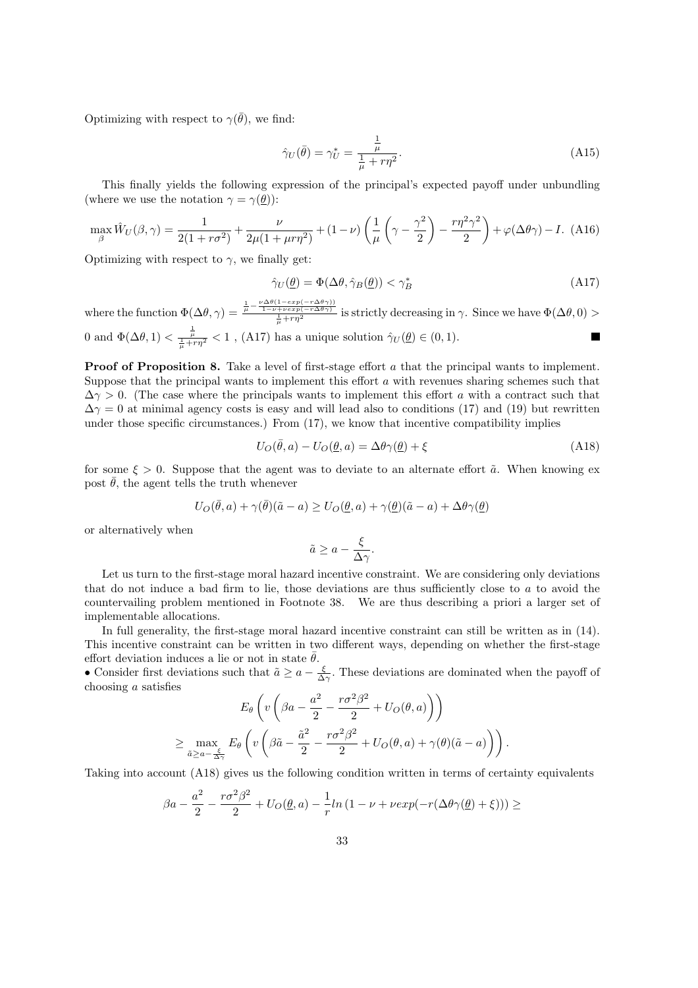Optimizing with respect to  $\gamma(\bar{\theta})$ , we find:

$$
\hat{\gamma}_U(\bar{\theta}) = \gamma_U^* = \frac{\frac{1}{\mu}}{\frac{1}{\mu} + r\eta^2}.
$$
\n(A15)

This finally yields the following expression of the principal's expected payoff under unbundling (where we use the notation  $\gamma = \gamma(\theta)$ ):

$$
\max_{\beta} \hat{W}_U(\beta, \gamma) = \frac{1}{2(1 + r\sigma^2)} + \frac{\nu}{2\mu(1 + \mu r\eta^2)} + (1 - \nu) \left(\frac{1}{\mu} \left(\gamma - \frac{\gamma^2}{2}\right) - \frac{r\eta^2 \gamma^2}{2}\right) + \varphi(\Delta\theta\gamma) - I. \tag{A16}
$$

Optimizing with respect to  $\gamma$ , we finally get:

$$
\hat{\gamma}_U(\underline{\theta}) = \Phi(\Delta\theta, \hat{\gamma}_B(\underline{\theta})) < \gamma_B^* \tag{A17}
$$

where the function  $\Phi(\Delta\theta, \gamma) = \frac{\frac{1}{\mu} - \frac{\nu\Delta\theta(1 - exp(-r\Delta\theta\gamma))}{1 - \nu + verp(-r\Delta\theta\gamma)}}{\frac{1}{\mu} + r\eta^2}$  is strictly decreasing in  $\gamma$ . Since we have  $\Phi(\Delta\theta, 0) >$ 0 and  $\Phi(\Delta\theta, 1) < \frac{1}{\frac{L}{\mu} + r\eta^2} < 1$ , (A17) has a unique solution  $\hat{\gamma}_U(\underline{\theta}) \in (0, 1)$ .

**Proof of Proposition 8.** Take a level of first-stage effort a that the principal wants to implement. Suppose that the principal wants to implement this effort  $a$  with revenues sharing schemes such that  $\Delta\gamma > 0$ . (The case where the principals wants to implement this effort a with a contract such that  $\Delta\gamma=0$  at minimal agency costs is easy and will lead also to conditions (17) and (19) but rewritten under those specific circumstances.) From (17), we know that incentive compatibility implies

$$
U_O(\bar{\theta}, a) - U_O(\underline{\theta}, a) = \Delta\theta\gamma(\underline{\theta}) + \xi
$$
\n(A18)

for some  $\xi > 0$ . Suppose that the agent was to deviate to an alternate effort  $\tilde{a}$ . When knowing ex post  $\bar{\theta}$ , the agent tells the truth whenever

$$
U_O(\bar{\theta}, a) + \gamma(\bar{\theta})(\tilde{a} - a) \ge U_O(\underline{\theta}, a) + \gamma(\underline{\theta})(\tilde{a} - a) + \Delta\theta\gamma(\underline{\theta})
$$

or alternatively when

$$
\tilde{a} \ge a - \frac{\xi}{\Delta \gamma}.
$$

Let us turn to the first-stage moral hazard incentive constraint. We are considering only deviations that do not induce a bad firm to lie, those deviations are thus sufficiently close to a to avoid the countervailing problem mentioned in Footnote 38. We are thus describing a priori a larger set of implementable allocations.

In full generality, the first-stage moral hazard incentive constraint can still be written as in (14). This incentive constraint can be written in two different ways, depending on whether the first-stage effort deviation induces a lie or not in state  $\bar{\theta}$ .

• Consider first deviations such that  $\tilde{a} \ge a - \frac{\xi}{\Delta \gamma}$ . These deviations are dominated when the payoff of choosing a satisfies  $\overline{a}$  $\overline{a}$  $\mathbb{R}$ 

$$
E_{\theta}\left(v\left(\beta a - \frac{a^2}{2} - \frac{r\sigma^2\beta^2}{2} + U_O(\theta, a)\right)\right)
$$
  

$$
\geq \max_{\tilde{a} \geq a - \frac{\xi}{\Delta\gamma}} E_{\theta}\left(v\left(\beta\tilde{a} - \frac{\tilde{a}^2}{2} - \frac{r\sigma^2\beta^2}{2} + U_O(\theta, a) + \gamma(\theta)(\tilde{a} - a)\right)\right).
$$

Taking into account (A18) gives us the following condition written in terms of certainty equivalents

$$
\beta a - \frac{a^2}{2} - \frac{r\sigma^2 \beta^2}{2} + U_O(\underline{\theta}, a) - \frac{1}{r} \ln(1 - \nu + \nu \exp(-r(\Delta \theta \gamma(\underline{\theta}) + \xi))) \ge
$$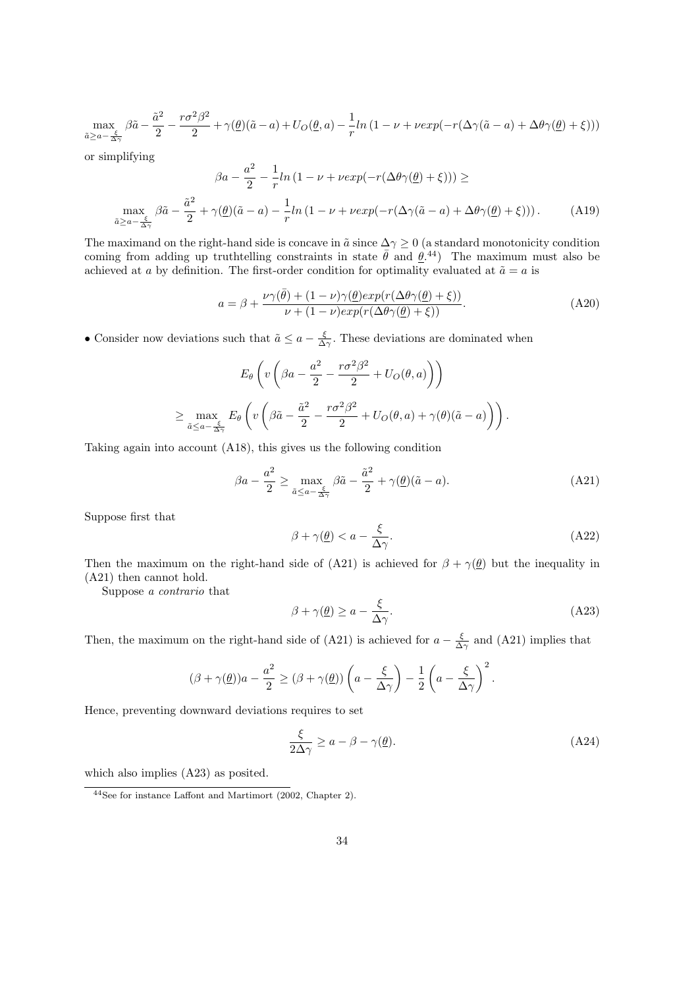$$
\max_{\tilde{a} \geq a-\frac{\xi}{\Delta \gamma}} \beta \tilde{a}-\frac{\tilde{a}^2}{2}-\frac{r \sigma^2 \beta^2}{2}+\gamma(\underline{\theta})(\tilde{a}-a)+U_O(\underline{\theta},a)-\frac{1}{r}ln\left(1-\nu+\nu exp(-r(\Delta \gamma(\tilde{a}-a)+\Delta \theta \gamma(\underline{\theta})+\xi))\right)
$$

or simplifying

$$
\beta a - \frac{a^2}{2} - \frac{1}{r} ln (1 - \nu + \nu exp(-r(\Delta\theta \gamma(\underline{\theta}) + \xi))) \ge
$$
  

$$
\max_{\tilde{a} \ge a - \frac{\tilde{a}^2}{\Delta \gamma}} \beta \tilde{a} - \frac{\tilde{a}^2}{2} + \gamma(\underline{\theta})(\tilde{a} - a) - \frac{1}{r} ln (1 - \nu + \nu exp(-r(\Delta\gamma(\tilde{a} - a) + \Delta\theta \gamma(\underline{\theta}) + \xi))).
$$
 (A19)

The maximand on the right-hand side is concave in  $\tilde{a}$  since  $\Delta\gamma \geq 0$  (a standard monotonicity condition coming from adding up truthtelling constraints in state  $\bar{\theta}$  and  $\theta$ .<sup>44</sup>) The maximum must also be achieved at a by definition. The first-order condition for optimality evaluated at  $\tilde{a} = a$  is

$$
a = \beta + \frac{\nu\gamma(\bar{\theta}) + (1 - \nu)\gamma(\underline{\theta})exp(r(\Delta\theta\gamma(\underline{\theta}) + \xi))}{\nu + (1 - \nu)exp(r(\Delta\theta\gamma(\underline{\theta}) + \xi))}.
$$
 (A20)

• Consider now deviations such that  $\tilde{a} \le a - \frac{\xi}{\Delta \gamma}$ . These deviations are dominated when

$$
E_{\theta}\left(v\left(\beta a - \frac{a^2}{2} - \frac{r\sigma^2\beta^2}{2} + U_O(\theta, a)\right)\right)
$$
  

$$
\geq \max_{\tilde{a} \leq a - \frac{\xi}{\Delta\gamma}} E_{\theta}\left(v\left(\beta\tilde{a} - \frac{\tilde{a}^2}{2} - \frac{r\sigma^2\beta^2}{2} + U_O(\theta, a) + \gamma(\theta)(\tilde{a} - a)\right)\right).
$$

Taking again into account (A18), this gives us the following condition

$$
\beta a - \frac{a^2}{2} \ge \max_{\tilde{a} \le a - \frac{\xi}{\Delta \gamma}} \beta \tilde{a} - \frac{\tilde{a}^2}{2} + \gamma(\underline{\theta})(\tilde{a} - a). \tag{A21}
$$

Suppose first that

$$
\beta + \gamma(\underline{\theta}) < a - \frac{\xi}{\Delta \gamma}.\tag{A22}
$$

Then the maximum on the right-hand side of (A21) is achieved for  $\beta + \gamma(\underline{\theta})$  but the inequality in (A21) then cannot hold.

Suppose a contrario that

$$
\beta + \gamma(\underline{\theta}) \ge a - \frac{\xi}{\Delta \gamma}.\tag{A23}
$$

Then, the maximum on the right-hand side of (A21) is achieved for  $a - \frac{\xi}{\Delta \gamma}$  and (A21) implies that

$$
(\beta + \gamma(\underline{\theta}))a - \frac{a^2}{2} \geq (\beta + \gamma(\underline{\theta}))\left(a - \frac{\xi}{\Delta \gamma}\right) - \frac{1}{2}\left(a - \frac{\xi}{\Delta \gamma}\right)^2.
$$

Hence, preventing downward deviations requires to set

$$
\frac{\xi}{2\Delta\gamma} \ge a - \beta - \gamma(\underline{\theta}).\tag{A24}
$$

which also implies (A23) as posited.

<sup>44</sup>See for instance Laffont and Martimort (2002, Chapter 2).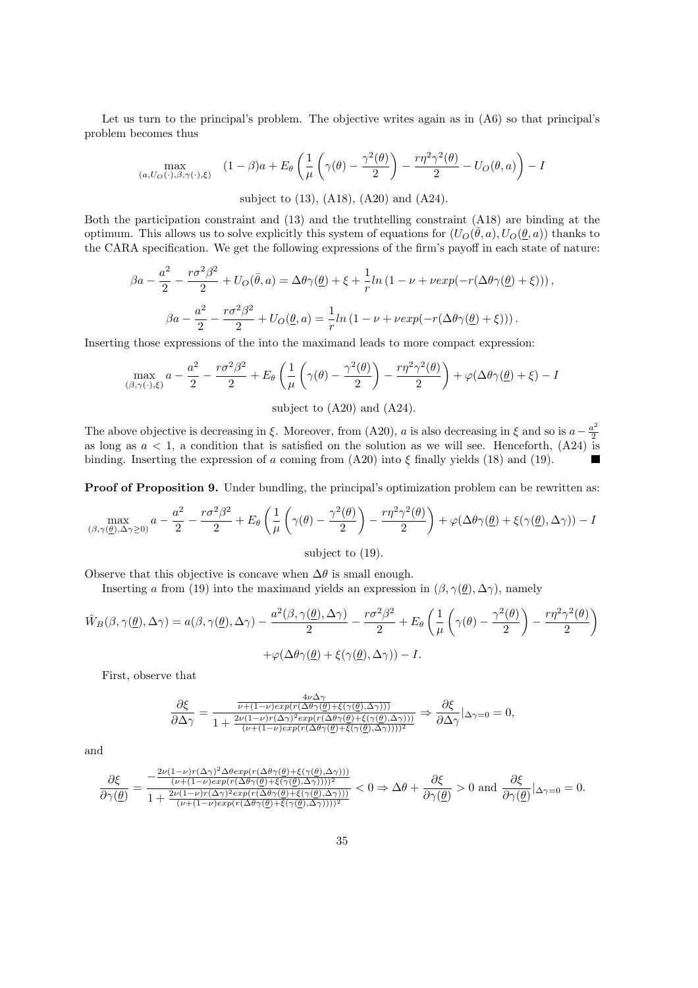Let us turn to the principal's problem. The objective writes again as in (A6) so that principal's problem becomes thus

$$
\max_{(a,U_O(\cdot),\beta,\gamma(\cdot),\xi)} (1-\beta)a + E_{\theta}\left(\frac{1}{\mu}\left(\gamma(\theta) - \frac{\gamma^2(\theta)}{2}\right) - \frac{r\eta^2\gamma^2(\theta)}{2} - U_O(\theta,a)\right) - I
$$
\nsubject to (13), (A18), (A20) and (A24).

Both the participation constraint and (13) and the truthtelling constraint (A18) are binding at the optimum. This allows us to solve explicitly this system of equations for  $(U_O(\bar{\theta},a), U_O(\underline{\theta},a))$  thanks to the CARA specification. We get the following expressions of the firm's payoff in each state of nature:

$$
\beta a - \frac{a^2}{2} - \frac{r\sigma^2 \beta^2}{2} + U_O(\bar{\theta}, a) = \Delta \theta \gamma(\underline{\theta}) + \xi + \frac{1}{r} \ln \left( 1 - \nu + \nu \exp(-r(\Delta \theta \gamma(\underline{\theta}) + \xi)) \right),
$$
  

$$
\beta a - \frac{a^2}{2} - \frac{r\sigma^2 \beta^2}{2} + U_O(\underline{\theta}, a) = \frac{1}{r} \ln \left( 1 - \nu + \nu \exp(-r(\Delta \theta \gamma(\underline{\theta}) + \xi)) \right).
$$

Inserting those expressions of the into the maximand leads to more compact expression:

$$
\max_{(\beta,\gamma(\cdot),\xi)} a - \frac{a^2}{2} - \frac{r\sigma^2\beta^2}{2} + E_{\theta}\left(\frac{1}{\mu}\left(\gamma(\theta) - \frac{\gamma^2(\theta)}{2}\right) - \frac{r\eta^2\gamma^2(\theta)}{2}\right) + \varphi(\Delta\theta\gamma(\theta) + \xi) - I
$$

subject to (A20) and (A24).

The above objective is decreasing in ξ. Moreover, from (A20), a is also decreasing in ξ and so is  $a-\frac{a^2}{2}$ 2 as long as  $a < 1$ , a condition that is satisfied on the solution as we will see. Henceforth,  $(A24)$  is binding. Inserting the expression of a coming from  $(A20)$  into  $\xi$  finally yields  $(18)$  and  $(19)$ .  $\blacksquare$ 

**Proof of Proposition 9.** Under bundling, the principal's optimization problem can be rewritten as:

$$
\max_{(\beta,\gamma(\underline{\theta}),\Delta\gamma\geq 0)}a-\frac{a^2}{2}-\frac{r\sigma^2\beta^2}{2}+E_\theta\left(\frac{1}{\mu}\left(\gamma(\theta)-\frac{\gamma^2(\theta)}{2}\right)-\frac{r\eta^2\gamma^2(\theta)}{2}\right)+\varphi(\Delta\theta\gamma(\underline{\theta})+\xi(\gamma(\underline{\theta}),\Delta\gamma))-I
$$

subject to (19).

Observe that this objective is concave when  $\Delta\theta$  is small enough.

Inserting a from (19) into the maximand yields an expression in  $(\beta, \gamma(\theta), \Delta \gamma)$ , namely

$$
\hat{W}_B(\beta, \gamma(\underline{\theta}), \Delta \gamma) = a(\beta, \gamma(\underline{\theta}), \Delta \gamma) - \frac{a^2(\beta, \gamma(\underline{\theta}), \Delta \gamma)}{2} - \frac{r\sigma^2 \beta^2}{2} + E_{\theta} \left( \frac{1}{\mu} \left( \gamma(\theta) - \frac{\gamma^2(\theta)}{2} \right) - \frac{r\eta^2 \gamma^2(\theta)}{2} \right) + \varphi(\Delta \theta \gamma(\underline{\theta}) + \xi(\gamma(\underline{\theta}), \Delta \gamma)) - I.
$$

First, observe that

$$
\frac{\partial \xi}{\partial \Delta \gamma} = \frac{\frac{4\nu \Delta \gamma}{\nu + (1-\nu)exp(r(\Delta \theta \gamma(\underline{\theta}) + \xi(\gamma(\underline{\theta}), \Delta \gamma)))}}{1 + \frac{2\nu(1-\nu)r(\Delta \gamma)^2 exp(r(\Delta \theta \gamma(\underline{\theta}) + \xi(\gamma(\underline{\theta}), \Delta \gamma)))}{(\nu + (1-\nu)exp(r(\Delta \theta \gamma(\underline{\theta}) + \xi(\gamma(\underline{\theta}), \Delta \gamma))))^2}} \Rightarrow \frac{\partial \xi}{\partial \Delta \gamma} |_{\Delta \gamma = 0} = 0,
$$

and

$$
\frac{\partial \xi}{\partial \gamma(\underline{\theta})} = \frac{-\frac{2\nu(1-\nu)r(\Delta \gamma)^2 \Delta \theta exp(r(\Delta \theta \gamma(\underline{\theta})+\xi(\gamma(\underline{\theta}),\Delta \gamma)))}{(\nu+(1-\nu)exp(r(\Delta \theta \gamma(\underline{\theta})+\xi(\gamma(\underline{\theta}),\Delta \gamma))))^2}}{1+\frac{2\nu(1-\nu)r(\Delta \gamma)^2 exp(r(\Delta \theta \gamma(\underline{\theta})+\xi(\gamma(\underline{\theta}),\Delta \gamma))))}{(\nu+(1-\nu)exp(r(\Delta \theta \gamma(\underline{\theta})+\xi(\gamma(\underline{\theta}),\Delta \gamma))))^2}} < 0 \Rightarrow \Delta \theta + \frac{\partial \xi}{\partial \gamma(\underline{\theta})} > 0 \text{ and } \frac{\partial \xi}{\partial \gamma(\underline{\theta})}|_{\Delta \gamma=0} = 0.
$$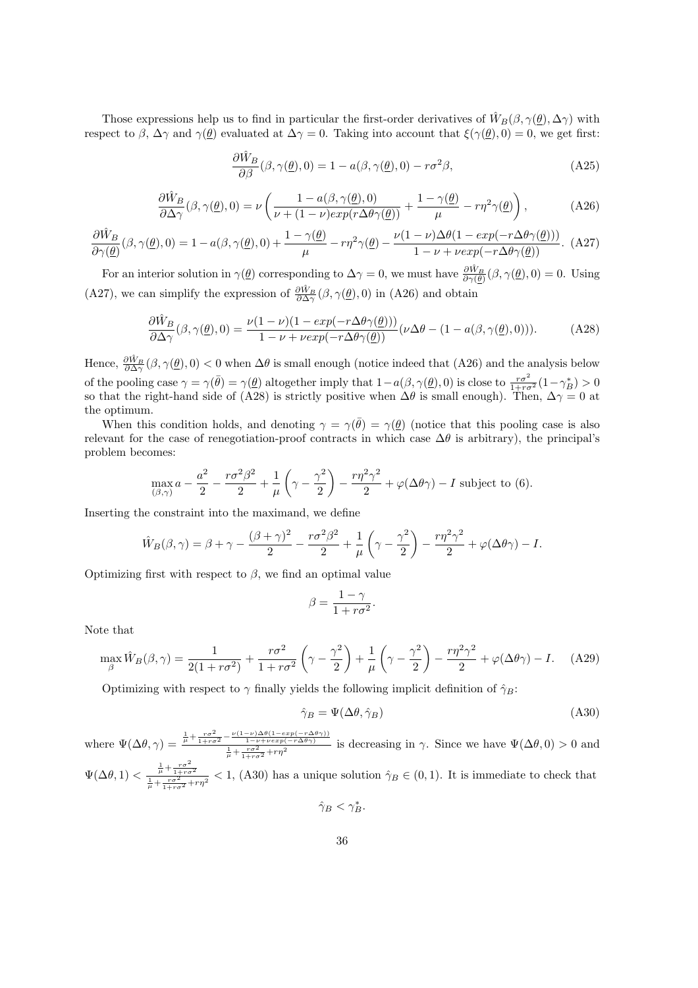Those expressions help us to find in particular the first-order derivatives of  $\hat{W}_B(\beta, \gamma(\underline{\theta}), \Delta \gamma)$  with respect to  $\beta$ ,  $\Delta \gamma$  and  $\gamma(\underline{\theta})$  evaluated at  $\Delta \gamma = 0$ . Taking into account that  $\xi(\gamma(\underline{\theta}), 0) = 0$ , we get first:

$$
\frac{\partial \hat{W}_B}{\partial \beta}(\beta, \gamma(\underline{\theta}), 0) = 1 - a(\beta, \gamma(\underline{\theta}), 0) - r\sigma^2 \beta,
$$
\n(A25)

$$
\frac{\partial \hat{W}_B}{\partial \Delta \gamma}(\beta, \gamma(\underline{\theta}), 0) = \nu \left( \frac{1 - a(\beta, \gamma(\underline{\theta}), 0)}{\nu + (1 - \nu) \exp(r \Delta \theta \gamma(\underline{\theta}))} + \frac{1 - \gamma(\underline{\theta})}{\mu} - r\eta^2 \gamma(\underline{\theta}) \right),\tag{A26}
$$

$$
\frac{\partial \hat{W}_B}{\partial \gamma(\underline{\theta})}(\beta, \gamma(\underline{\theta}), 0) = 1 - a(\beta, \gamma(\underline{\theta}), 0) + \frac{1 - \gamma(\underline{\theta})}{\mu} - r\eta^2 \gamma(\underline{\theta}) - \frac{\nu(1 - \nu)\Delta\theta(1 - \exp(-r\Delta\theta\gamma(\underline{\theta})))}{1 - \nu + \nu\exp(-r\Delta\theta\gamma(\underline{\theta}))}.
$$
(A27)

For an interior solution in  $\gamma(\underline{\theta})$  corresponding to  $\Delta\gamma=0$ , we must have  $\frac{\partial \hat{W}_B}{\partial \gamma(\theta)}(\beta, \gamma(\underline{\theta}), 0) = 0$ . Using (A27), we can simplify the expression of  $\frac{\partial \hat{W}_B}{\partial \Delta \gamma}(\beta, \gamma(\underline{\theta}), 0)$  in (A26) and obtain

$$
\frac{\partial \hat{W}_B}{\partial \Delta \gamma}(\beta, \gamma(\underline{\theta}), 0) = \frac{\nu(1 - \nu)(1 - \exp(-r\Delta\theta \gamma(\underline{\theta})))}{1 - \nu + \nu \exp(-r\Delta\theta \gamma(\underline{\theta}))} (\nu \Delta \theta - (1 - a(\beta, \gamma(\underline{\theta}), 0))).
$$
 (A28)

Hence,  $\frac{\partial \hat{W}_B}{\partial \Delta \gamma}(\beta, \gamma(\underline{\theta}), 0) < 0$  when  $\Delta \theta$  is small enough (notice indeed that (A26) and the analysis below of the pooling case  $\gamma = \gamma(\bar{\theta}) = \gamma(\underline{\theta})$  altogether imply that  $1 - a(\beta, \gamma(\underline{\theta}), 0)$  is close to  $\frac{r\sigma^2}{1 + r\sigma^2}(1 - \gamma_B^*) > 0$ so that the right-hand side of (A28) is strictly positive when  $\Delta\theta$  is small enough). Then,  $\Delta\gamma=0$  at the optimum.

When this condition holds, and denoting  $\gamma = \gamma(\bar{\theta}) = \gamma(\theta)$  (notice that this pooling case is also relevant for the case of renegotiation-proof contracts in which case  $\Delta\theta$  is arbitrary), the principal's problem becomes:

$$
\max_{(\beta,\gamma)} a - \frac{a^2}{2} - \frac{r\sigma^2\beta^2}{2} + \frac{1}{\mu} \left(\gamma - \frac{\gamma^2}{2}\right) - \frac{r\eta^2\gamma^2}{2} + \varphi(\Delta\theta\gamma) - I
$$
 subject to (6).

Inserting the constraint into the maximand, we define

$$
\hat{W}_B(\beta, \gamma) = \beta + \gamma - \frac{(\beta + \gamma)^2}{2} - \frac{r\sigma^2\beta^2}{2} + \frac{1}{\mu} \left(\gamma - \frac{\gamma^2}{2}\right) - \frac{r\eta^2\gamma^2}{2} + \varphi(\Delta\theta\gamma) - I.
$$

Optimizing first with respect to  $\beta$ , we find an optimal value

$$
\beta = \frac{1 - \gamma}{1 + r\sigma^2}.
$$

Note that

$$
\max_{\beta} \hat{W}_B(\beta, \gamma) = \frac{1}{2(1 + r\sigma^2)} + \frac{r\sigma^2}{1 + r\sigma^2} \left(\gamma - \frac{\gamma^2}{2}\right) + \frac{1}{\mu} \left(\gamma - \frac{\gamma^2}{2}\right) - \frac{r\eta^2\gamma^2}{2} + \varphi(\Delta\theta\gamma) - I. \tag{A29}
$$

Optimizing with respect to  $\gamma$  finally yields the following implicit definition of  $\hat{\gamma}_B$ :

$$
\hat{\gamma}_B = \Psi(\Delta\theta, \hat{\gamma}_B) \tag{A30}
$$

where  $\Psi(\Delta\theta, \gamma) = \frac{\frac{1}{\mu} + \frac{r\sigma^2}{1 + r\sigma^2} - \frac{\nu(1-\nu)\Delta\theta(1-\exp(-r\Delta\theta\gamma))}{1-\nu+\nu\exp(-r\Delta\theta\gamma)}}{\frac{1}{\mu} + \frac{r\sigma^2}{1 + r\sigma^2} + r\eta^2}$  is decreasing in  $\gamma$ . Since we have  $\Psi(\Delta\theta, 0) > 0$  and  $\Psi(\Delta\theta, 1) < \frac{\frac{1}{\mu} + \frac{r\sigma^2}{1 + r\sigma^2}}{\frac{1}{\mu} + \frac{r\sigma^2}{1 + r\sigma^2} + r\eta^2} < 1$ , (A30) has a unique solution  $\hat{\gamma}_B \in (0, 1)$ . It is immediate to check that

$$
\hat{\gamma}_B<\gamma_B^*.
$$